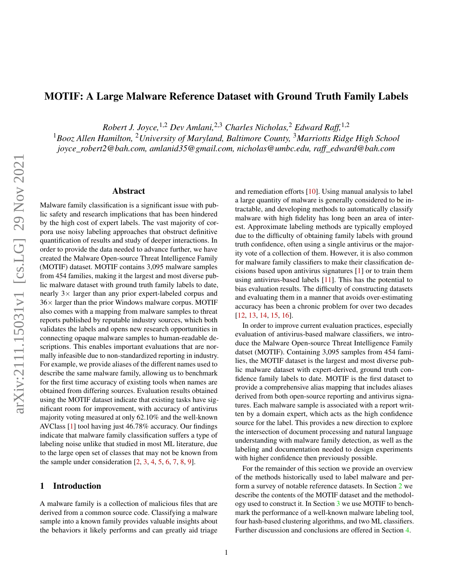# <span id="page-0-0"></span>MOTIF: A Large Malware Reference Dataset with Ground Truth Family Labels

*Robert J. Joyce,*1,2 *Dev Amlani,*2,3 *Charles Nicholas,*<sup>2</sup> *Edward Raff,*1,2

<sup>1</sup>*Booz Allen Hamilton,* <sup>2</sup>*University of Maryland, Baltimore County,* <sup>3</sup>*Marriotts Ridge High School joyce\_robert2@bah.com, amlanid35@gmail.com, nicholas@umbc.edu, raff\_edward@bah.com*

#### Abstract

Malware family classification is a significant issue with public safety and research implications that has been hindered by the high cost of expert labels. The vast majority of corpora use noisy labeling approaches that obstruct definitive quantification of results and study of deeper interactions. In order to provide the data needed to advance further, we have created the Malware Open-source Threat Intelligence Family (MOTIF) dataset. MOTIF contains 3,095 malware samples from 454 families, making it the largest and most diverse public malware dataset with ground truth family labels to date, nearly  $3 \times$  larger than any prior expert-labeled corpus and  $36\times$  larger than the prior Windows malware corpus. MOTIF also comes with a mapping from malware samples to threat reports published by reputable industry sources, which both validates the labels and opens new research opportunities in connecting opaque malware samples to human-readable descriptions. This enables important evaluations that are normally infeasible due to non-standardized reporting in industry. For example, we provide aliases of the different names used to describe the same malware family, allowing us to benchmark for the first time accuracy of existing tools when names are obtained from differing sources. Evaluation results obtained using the MOTIF dataset indicate that existing tasks have significant room for improvement, with accuracy of antivirus majority voting measured at only 62.10% and the well-known AVClass [\[1\]](#page-8-0) tool having just 46.78% accuracy. Our findings indicate that malware family classification suffers a type of labeling noise unlike that studied in most ML literature, due to the large open set of classes that may not be known from the sample under consideration  $[2, 3, 4, 5, 6, 7, 8, 9]$  $[2, 3, 4, 5, 6, 7, 8, 9]$  $[2, 3, 4, 5, 6, 7, 8, 9]$  $[2, 3, 4, 5, 6, 7, 8, 9]$  $[2, 3, 4, 5, 6, 7, 8, 9]$  $[2, 3, 4, 5, 6, 7, 8, 9]$  $[2, 3, 4, 5, 6, 7, 8, 9]$  $[2, 3, 4, 5, 6, 7, 8, 9]$  $[2, 3, 4, 5, 6, 7, 8, 9]$  $[2, 3, 4, 5, 6, 7, 8, 9]$  $[2, 3, 4, 5, 6, 7, 8, 9]$  $[2, 3, 4, 5, 6, 7, 8, 9]$  $[2, 3, 4, 5, 6, 7, 8, 9]$  $[2, 3, 4, 5, 6, 7, 8, 9]$  $[2, 3, 4, 5, 6, 7, 8, 9]$ .

#### 1 Introduction

A malware family is a collection of malicious files that are derived from a common source code. Classifying a malware sample into a known family provides valuable insights about the behaviors it likely performs and can greatly aid triage

and remediation efforts [\[10\]](#page-8-9). Using manual analysis to label a large quantity of malware is generally considered to be intractable, and developing methods to automatically classify malware with high fidelity has long been an area of interest. Approximate labeling methods are typically employed due to the difficulty of obtaining family labels with ground truth confidence, often using a single antivirus or the majority vote of a collection of them. However, it is also common for malware family classifiers to make their classification decisions based upon antivirus signatures [\[1\]](#page-8-0) or to train them using antivirus-based labels [\[11\]](#page-8-10). This has the potential to bias evaluation results. The difficulty of constructing datasets and evaluating them in a manner that avoids over-estimating accuracy has been a chronic problem for over two decades [\[12,](#page-8-11) [13,](#page-8-12) [14,](#page-8-13) [15,](#page-8-14) [16\]](#page-9-0).

In order to improve current evaluation practices, especially evaluation of antivirus-based malware classifiers, we introduce the Malware Open-source Threat Intelligence Family datset (MOTIF). Containing 3,095 samples from 454 families, the MOTIF dataset is the largest and most diverse public malware dataset with expert-derived, ground truth confidence family labels to date. MOTIF is the first dataset to provide a comprehensive alias mapping that includes aliases derived from both open-source reporting and antivirus signatures. Each malware sample is associated with a report written by a domain expert, which acts as the high confidence source for the label. This provides a new direction to explore the intersection of document processing and natural language understanding with malware family detection, as well as the labeling and documentation needed to design experiments with higher confidence then previously possible.

For the remainder of this section we provide an overview of the methods historically used to label malware and perform a survey of notable reference datasets. In Section [2](#page-2-0) we describe the contents of the MOTIF dataset and the methodology used to construct it. In Section [3](#page-5-0) we use MOTIF to benchmark the performance of a well-known malware labeling tool, four hash-based clustering algorithms, and two ML classifiers. Further discussion and conclusions are offered in Section [4.](#page-7-0)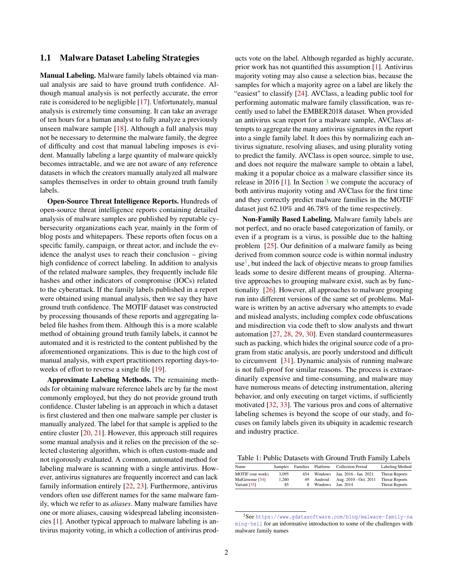#### 1.1 Malware Dataset Labeling Strategies

Manual Labeling. Malware family labels obtained via manual analysis are said to have ground truth confidence. Although manual analysis is not perfectly accurate, the error rate is considered to be negligible [\[17\]](#page-9-1). Unfortunately, manual analysis is extremely time consuming. It can take an average of ten hours for a human analyst to fully analyze a previously unseen malware sample [\[18\]](#page-9-2). Although a full analysis may not be necessary to determine the malware family, the degree of difficulty and cost that manual labeling imposes is evident. Manually labeling a large quantity of malware quickly becomes intractable, and we are not aware of any reference datasets in which the creators manually analyzed all malware samples themselves in order to obtain ground truth family labels.

Open-Source Threat Intelligence Reports. Hundreds of open-source threat intelligence reports containing detailed analysis of malware samples are published by reputable cybersecurity organizations each year, mainly in the form of blog posts and whitepapers. These reports often focus on a specific family, campaign, or threat actor, and include the evidence the analyst uses to reach their conclusion – giving high confidence of correct labeling. In addition to analysis of the related malware samples, they frequently include file hashes and other indicators of compromise (IOCs) related to the cyberattack. If the family labels published in a report were obtained using manual analysis, then we say they have ground truth confidence. The MOTIF dataset was constructed by processing thousands of these reports and aggregating labeled file hashes from them. Although this is a more scalable method of obtaining ground truth family labels, it cannot be automated and it is restricted to the content published by the aforementioned organizations. This is due to the high cost of manual analysis, with expert practitioners reporting days-toweeks of effort to reverse a single file [\[19\]](#page-9-3).

Approximate Labeling Methods. The remaining methods for obtaining malware reference labels are by far the most commonly employed, but they do not provide ground truth confidence. Cluster labeling is an approach in which a dataset is first clustered and then one malware sample per cluster is manually analyzed. The label for that sample is applied to the entire cluster [\[20,](#page-9-4) [21\]](#page-9-5). However, this approach still requires some manual analysis and it relies on the precision of the selected clustering algorithm, which is often custom-made and not rigorously evaluated. A common, automated method for labeling malware is scanning with a single antivirus. However, antivirus signatures are frequently incorrect and can lack family information entirely [\[22,](#page-9-6) [23\]](#page-9-7). Furthermore, antivirus vendors often use different names for the same malware family, which we refer to as *aliases*. Many malware families have one or more aliases, causing widespread labeling inconsistencies [\[1\]](#page-8-0). Another typical approach to malware labeling is antivirus majority voting, in which a collection of antivirus prod-

ucts vote on the label. Although regarded as highly accurate, prior work has not quantified this assumption [\[1\]](#page-8-0). Antivirus majority voting may also cause a selection bias, because the samples for which a majority agree on a label are likely the "easiest" to classify [\[24\]](#page-9-8). AVClass, a leading public tool for performing automatic malware family classification, was recently used to label the EMBER2018 dataset. When provided an antivirus scan report for a malware sample, AVClass attempts to aggregate the many antivirus signatures in the report into a single family label. It does this by normalizing each antivirus signature, resolving aliases, and using plurality voting to predict the family. AVClass is open source, simple to use, and does not require the malware sample to obtain a label, making it a popular choice as a malware classifier since its release in 2016 [\[1\]](#page-8-0). In Section  $\frac{3}{5}$  $\frac{3}{5}$  $\frac{3}{5}$  we compute the accuracy of both antivirus majority voting and AVClass for the first time and they correctly predict malware families in the MOTIF dataset just 62.10% and 46.78% of the time respectively.

Non-Family Based Labeling. Malware family labels are not perfect, and no oracle based categorization of family, or even if a program is a virus, is possible due to the halting problem [\[25\]](#page-9-9). Our definition of a malware family as being derived from common source code is within normal industry use<sup>[1](#page-1-0)</sup>, but indeed the lack of objective means to group families leads some to desire different means of grouping. Alternative approaches to grouping malware exist, such as by functionality [\[26\]](#page-9-10). However, all approaches to malware grouping run into different versions of the same set of problems. Malware is written by an active adversary who attempts to evade and mislead analysts, including complex code obfuscations and misdirection via code theft to slow analysts and thwart automation [\[27,](#page-9-11) [28,](#page-9-12) [29,](#page-9-13) [30\]](#page-9-14). Even standard countermeasures such as packing, which hides the original source code of a program from static analysis, are poorly understood and difficult to circumvent [\[31\]](#page-9-15). Dynamic analysis of running malware is not full-proof for similar reasons. The process is extraordinarily expensive and time-consuming, and malware may have numerous means of detecting instrumentation, altering behavior, and only executing on target victims, if sufficiently motivated [\[32,](#page-9-16) [33\]](#page-9-17). The various pros and cons of alternative labeling schemes is beyond the scope of our study, and focuses on family labels given its ubiquity in academic research and industry practice.

<span id="page-1-1"></span>Table 1: Public Datasets with Ground Truth Family Labels

| Name             | <b>Samples</b> | Families | Platform | <b>Collection Period</b> | Labeling Method       |
|------------------|----------------|----------|----------|--------------------------|-----------------------|
| MOTIF (our work) | 3.095          | 454      | Windows  | Jan. 2016 - Jan. 2021    | <b>Threat Reports</b> |
| MalGenome [34]   | 1.260          | 49       | Android  | Aug. 2010 - Oct. 2011    | <b>Threat Reports</b> |
| Variant $[35]$   | 85             |          | Windows  | Jan. 2014                | <b>Threat Reports</b> |

<span id="page-1-0"></span><sup>1</sup>See [https://www.gdatasoftware.com/blog/malware-family-na](https://www.gdatasoftware.com/blog/malware-family-naming-hell) [ming-hell](https://www.gdatasoftware.com/blog/malware-family-naming-hell) for an informative introduction to some of the challenges with malware family names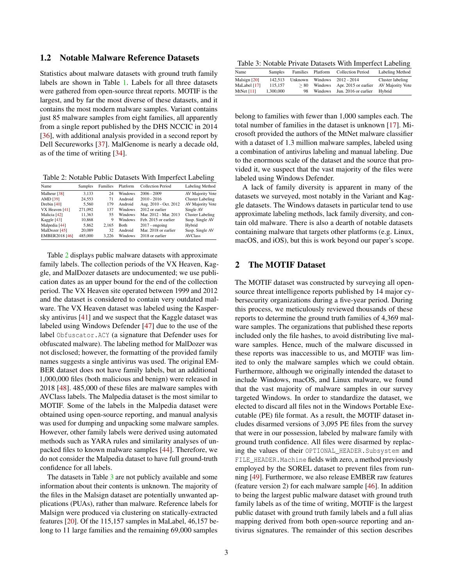# 1.2 Notable Malware Reference Datasets

Statistics about malware datasets with ground truth family labels are shown in Table [1.](#page-1-1) Labels for all three datasets were gathered from open-source threat reports. MOTIF is the largest, and by far the most diverse of these datasets, and it contains the most modern malware samples. Variant contains just 85 malware samples from eight families, all apparently from a single report published by the DHS NCCIC in 2014 [\[36\]](#page-10-1), with additional analysis provided in a second report by Dell Secureworks [\[37\]](#page-10-2). MalGenome is nearly a decade old, as of the time of writing [\[34\]](#page-9-18).

<span id="page-2-1"></span>Table 2: Notable Public Datasets With Imperfect Labeling

| Name                  | Samples | Families | Platform       | <b>Collection Period</b> | Labeling Method         |
|-----------------------|---------|----------|----------------|--------------------------|-------------------------|
| Malheur [38]          | 3.133   | 24       | Windows        | $2006 - 2009$            | AV Majority Vote        |
| AMD [39]              | 24.553  | 71       | Android        | $2010 - 2016$            | <b>Cluster Labeling</b> |
| Drebin $[40]$         | 5.560   | 179      | Android        | Aug. 2010 - Oct. 2012    | AV Majority Vote        |
| VX Heaven $[41]$      | 271.092 | 137      | <b>Windows</b> | 2012 or earlier          | Single AV               |
| Malicia [42]          | 11.363  | 55       | Windows        | Mar. 2012 - Mar. 2013    | <b>Cluster Labeling</b> |
| Kaggle $[43]$         | 10.868  | 9        | <b>Windows</b> | Feb. 2015 or earlier     | Susp. Single AV         |
| Malpedia [44]         | 5.862   | 2.165    | Both           | $2017 -$ ongoing         | Hybrid                  |
| MalDozer [45]         | 20,089  | 32       | Android        | Mar. 2018 or earlier     | Susp. Single AV         |
| <b>EMBER2018 [46]</b> | 485,000 | 3.226    | Windows        | 2018 or earlier          | <b>AVClass</b>          |

Table [2](#page-2-1) displays public malware datasets with approximate family labels. The collection periods of the VX Heaven, Kaggle, and MalDozer datasets are undocumented; we use publication dates as an upper bound for the end of the collection period. The VX Heaven site operated between 1999 and 2012 and the dataset is considered to contain very outdated malware. The VX Heaven dataset was labeled using the Kaspersky antivirus [\[41\]](#page-10-6) and we suspect that the Kaggle dataset was labeled using Windows Defender [\[47\]](#page-10-12) due to the use of the label Obfuscator.ACY (a signature that Defender uses for obfuscated malware). The labeling method for MalDozer was not disclosed; however, the formatting of the provided family names suggests a single antivirus was used. The original EM-BER dataset does not have family labels, but an additional 1,000,000 files (both malicious and benign) were released in 2018 [\[48\]](#page-10-13). 485,000 of these files are malware samples with AVClass labels. The Malpedia dataset is the most similar to MOTIF. Some of the labels in the Malpedia dataset were obtained using open-source reporting, and manual analysis was used for dumping and unpacking some malware samples. However, other family labels were derived using automated methods such as YARA rules and similarity analyses of unpacked files to known malware samples [\[44\]](#page-10-9). Therefore, we do not consider the Malpedia dataset to have full ground-truth confidence for all labels.

The datasets in Table [3](#page-2-2) are not publicly available and some information about their contents is unknown. The majority of the files in the Malsign dataset are potentially unwanted applications (PUAs), rather than malware. Reference labels for Malsign were produced via clustering on statically-extracted features [\[20\]](#page-9-4). Of the 115,157 samples in MaLabel, 46,157 belong to 11 large families and the remaining 69,000 samples

<span id="page-2-2"></span>Table 3: Notable Private Datasets With Imperfect Labeling

| Name         | Samples   | Families | Platform | <b>Collection Period</b> | Labeling Method  |
|--------------|-----------|----------|----------|--------------------------|------------------|
| Malsign [20] | 142.513   | Unknown  | Windows  | $2012 - 2014$            | Cluster labeling |
| MaLabel [17] | 115.157   | > 80     | Windows  | Apr. 2015 or earlier     | AV Majority Vote |
| MtNet $[11]$ | 1.300,000 | 98       | Windows  | Jun. 2016 or earlier     | Hybrid           |
|              |           |          |          |                          |                  |

belong to families with fewer than 1,000 samples each. The total number of families in the dataset is unknown [\[17\]](#page-9-1). Microsoft provided the authors of the MtNet malware classifier with a dataset of 1.3 million malware samples, labeled using a combination of antivirus labeling and manual labeling. Due to the enormous scale of the dataset and the source that provided it, we suspect that the vast majority of the files were labeled using Windows Defender.

A lack of family diversity is apparent in many of the datasets we surveyed, most notably in the Variant and Kaggle datasets. The Windows datasets in particular tend to use approximate labeling methods, lack family diversity, and contain old malware. There is also a dearth of notable datasets containing malware that targets other platforms (e.g. Linux, macOS, and iOS), but this is work beyond our paper's scope.

# <span id="page-2-0"></span>2 The MOTIF Dataset

The MOTIF dataset was constructed by surveying all opensource threat intelligence reports published by 14 major cybersecurity organizations during a five-year period. During this process, we meticulously reviewed thousands of these reports to determine the ground truth families of 4,369 malware samples. The organizations that published these reports included only the file hashes, to avoid distributing live malware samples. Hence, much of the malware discussed in these reports was inaccessible to us, and MOTIF was limited to only the malware samples which we could obtain. Furthermore, although we originally intended the dataset to include Windows, macOS, and Linux malware, we found that the vast majority of malware samples in our survey targeted Windows. In order to standardize the dataset, we elected to discard all files not in the Windows Portable Executable (PE) file format. As a result, the MOTIF dataset includes disarmed versions of 3,095 PE files from the survey that were in our possession, labeled by malware family with ground truth confidence. All files were disarmed by replacing the values of their OPTIONAL\_HEADER.Subsystem and FILE\_HEADER.Machine fields with zero, a method previously employed by the SOREL dataset to prevent files from running [\[49\]](#page-10-14). Furthermore, we also release EMBER raw features (feature version 2) for each malware sample [\[46\]](#page-10-11). In addition to being the largest public malware dataset with ground truth family labels as of the time of writing, MOTIF is the largest public dataset with ground truth family labels and a full alias mapping derived from both open-source reporting and antivirus signatures. The remainder of this section describes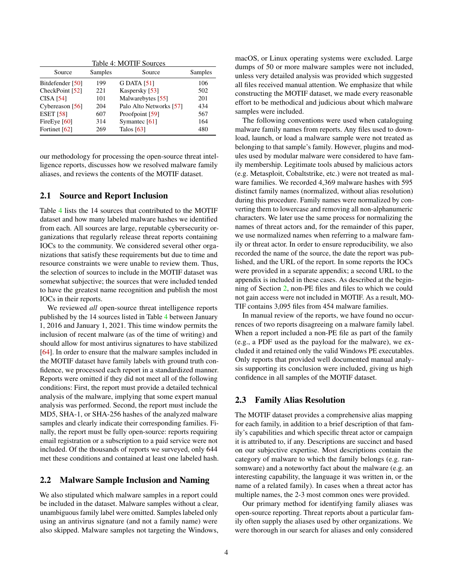<span id="page-3-0"></span>

| Table 4: MOTIF Sources |         |                         |         |  |  |
|------------------------|---------|-------------------------|---------|--|--|
| Source                 | Samples | Source                  | Samples |  |  |
| Bitdefender [50]       | 199     | <b>G DATA [51]</b>      | 106     |  |  |
| CheckPoint [52]        | 221     | Kaspersky [53]          | 502     |  |  |
| <b>CISA [54]</b>       | 101     | Malwarebytes [55]       | 201     |  |  |
| Cybereason [56]        | 204     | Palo Alto Networks [57] | 434     |  |  |
| <b>ESET</b> [58]       | 607     | Proofpoint [59]         | 567     |  |  |
| FireEye $[60]$         | 314     | Symantec [61]           | 164     |  |  |
| Fortinet [62]          | 269     | Talos $[63]$            | 480     |  |  |

our methodology for processing the open-source threat intelligence reports, discusses how we resolved malware family aliases, and reviews the contents of the MOTIF dataset.

#### 2.1 Source and Report Inclusion

Table [4](#page-3-0) lists the 14 sources that contributed to the MOTIF dataset and how many labeled malware hashes we identified from each. All sources are large, reputable cybersecurity organizations that regularly release threat reports containing IOCs to the community. We considered several other organizations that satisfy these requirements but due to time and resource constraints we were unable to review them. Thus, the selection of sources to include in the MOTIF dataset was somewhat subjective; the sources that were included tended to have the greatest name recognition and publish the most IOCs in their reports.

We reviewed *all* open-source threat intelligence reports published by the 14 sources listed in Table [4](#page-3-0) between January 1, 2016 and January 1, 2021. This time window permits the inclusion of recent malware (as of the time of writing) and should allow for most antivirus signatures to have stabilized [\[64\]](#page-11-0). In order to ensure that the malware samples included in the MOTIF dataset have family labels with ground truth confidence, we processed each report in a standardized manner. Reports were omitted if they did not meet all of the following conditions: First, the report must provide a detailed technical analysis of the malware, implying that some expert manual analysis was performed. Second, the report must include the MD5, SHA-1, or SHA-256 hashes of the analyzed malware samples and clearly indicate their corresponding families. Finally, the report must be fully open-source: reports requiring email registration or a subscription to a paid service were not included. Of the thousands of reports we surveyed, only 644 met these conditions and contained at least one labeled hash.

#### 2.2 Malware Sample Inclusion and Naming

We also stipulated which malware samples in a report could be included in the dataset. Malware samples without a clear, unambiguous family label were omitted. Samples labeled only using an antivirus signature (and not a family name) were also skipped. Malware samples not targeting the Windows,

macOS, or Linux operating systems were excluded. Large dumps of 50 or more malware samples were not included, unless very detailed analysis was provided which suggested all files received manual attention. We emphasize that while constructing the MOTIF dataset, we made every reasonable effort to be methodical and judicious about which malware samples were included.

The following conventions were used when cataloguing malware family names from reports. Any files used to download, launch, or load a malware sample were not treated as belonging to that sample's family. However, plugins and modules used by modular malware were considered to have family membership. Legitimate tools abused by malicious actors (e.g. Metasploit, Cobaltstrike, etc.) were not treated as malware families. We recorded 4,369 malware hashes with 595 distinct family names (normalized, without alias resolution) during this procedure. Family names were normalized by converting them to lowercase and removing all non-alphanumeric characters. We later use the same process for normalizing the names of threat actors and, for the remainder of this paper, we use normalized names when referring to a malware family or threat actor. In order to ensure reproducibility, we also recorded the name of the source, the date the report was published, and the URL of the report. In some reports the IOCs were provided in a separate appendix; a second URL to the appendix is included in these cases. As described at the beginning of Section [2,](#page-2-0) non-PE files and files to which we could not gain access were not included in MOTIF. As a result, MO-TIF contains 3,095 files from 454 malware families.

In manual review of the reports, we have found no occurrences of two reports disagreeing on a malware family label. When a report included a non-PE file as part of the family (e.g., a PDF used as the payload for the malware), we excluded it and retained only the valid Windows PE executables. Only reports that provided well documented manual analysis supporting its conclusion were included, giving us high confidence in all samples of the MOTIF dataset.

#### 2.3 Family Alias Resolution

The MOTIF dataset provides a comprehensive alias mapping for each family, in addition to a brief description of that family's capabilities and which specific threat actor or campaign it is attributed to, if any. Descriptions are succinct and based on our subjective expertise. Most descriptions contain the category of malware to which the family belongs (e.g. ransomware) and a noteworthy fact about the malware (e.g. an interesting capability, the language it was written in, or the name of a related family). In cases when a threat actor has multiple names, the 2-3 most common ones were provided.

Our primary method for identifying family aliases was open-source reporting. Threat reports about a particular family often supply the aliases used by other organizations. We were thorough in our search for aliases and only considered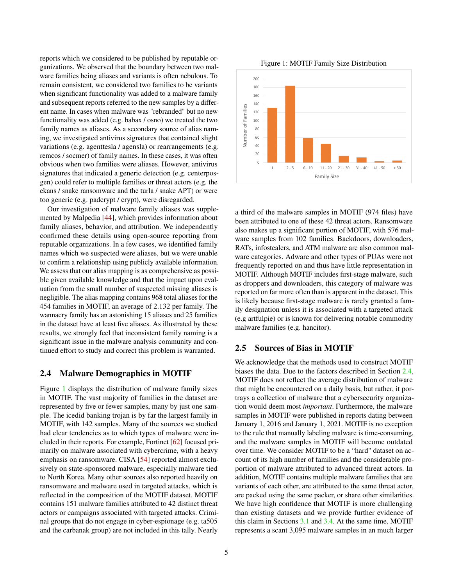reports which we considered to be published by reputable organizations. We observed that the boundary between two malware families being aliases and variants is often nebulous. To remain consistent, we considered two families to be variants when significant functionality was added to a malware family and subsequent reports referred to the new samples by a different name. In cases when malware was "rebranded" but no new functionality was added (e.g. babax / osno) we treated the two family names as aliases. As a secondary source of alias naming, we investigated antivirus signatures that contained slight variations (e.g. agenttesla / agensla) or rearrangements (e.g. remcos / socmer) of family names. In these cases, it was often obvious when two families were aliases. However, antivirus signatures that indicated a generic detection (e.g. centerposgen) could refer to multiple families or threat actors (e.g. the ekans / snake ransomware and the turla / snake APT) or were too generic (e.g. padcrypt / crypt), were disregarded.

Our investigation of malware family aliases was supplemented by Malpedia [\[44\]](#page-10-9), which provides information about family aliases, behavior, and attribution. We independently confirmed these details using open-source reporting from reputable organizations. In a few cases, we identified family names which we suspected were aliases, but we were unable to confirm a relationship using publicly available information. We assess that our alias mapping is as comprehensive as possible given available knowledge and that the impact upon evaluation from the small number of suspected missing aliases is negligible. The alias mapping contains 968 total aliases for the 454 families in MOTIF, an average of 2.132 per family. The wannacry family has an astonishing 15 aliases and 25 families in the dataset have at least five aliases. As illustrated by these results, we strongly feel that inconsistent family naming is a significant issue in the malware analysis community and continued effort to study and correct this problem is warranted.

# <span id="page-4-1"></span>2.4 Malware Demographics in MOTIF

Figure [1](#page-4-0) displays the distribution of malware family sizes in MOTIF. The vast majority of families in the dataset are represented by five or fewer samples, many by just one sample. The icedid banking trojan is by far the largest family in MOTIF, with 142 samples. Many of the sources we studied had clear tendencies as to which types of malware were included in their reports. For example, Fortinet [\[62\]](#page-10-27) focused primarily on malware associated with cybercrime, with a heavy emphasis on ransomware. CISA [\[54\]](#page-10-19) reported almost exclusively on state-sponsored malware, especially malware tied to North Korea. Many other sources also reported heavily on ransomware and malware used in targeted attacks, which is reflected in the composition of the MOTIF dataset. MOTIF contains 151 malware families attributed to 42 distinct threat actors or campaigns associated with targeted attacks. Criminal groups that do not engage in cyber-espionage (e.g. ta505 and the carbanak group) are not included in this tally. Nearly

<span id="page-4-0"></span>Figure 1: MOTIF Family Size Distribution



a third of the malware samples in MOTIF (974 files) have been attributed to one of these 42 threat actors. Ransomware also makes up a significant portion of MOTIF, with 576 malware samples from 102 families. Backdoors, downloaders, RATs, infostealers, and ATM malware are also common malware categories. Adware and other types of PUAs were not frequently reported on and thus have little representation in MOTIF. Although MOTIF includes first-stage malware, such as droppers and downloaders, this category of malware was reported on far more often than is apparent in the dataset. This is likely because first-stage malware is rarely granted a family designation unless it is associated with a targeted attack (e.g artfulpie) or is known for delivering notable commodity malware families (e.g. hancitor).

## 2.5 Sources of Bias in MOTIF

We acknowledge that the methods used to construct MOTIF biases the data. Due to the factors described in Section [2.4,](#page-4-1) MOTIF does not reflect the average distribution of malware that might be encountered on a daily basis, but rather, it portrays a collection of malware that a cybersecurity organization would deem most *important*. Furthermore, the malware samples in MOTIF were published in reports dating between January 1, 2016 and January 1, 2021. MOTIF is no exception to the rule that manually labeling malware is time-consuming, and the malware samples in MOTIF will become outdated over time. We consider MOTIF to be a "hard" dataset on account of its high number of families and the considerable proportion of malware attributed to advanced threat actors. In addition, MOTIF contains multiple malware families that are variants of each other, are attributed to the same threat actor, are packed using the same packer, or share other similarities. We have high confidence that MOTIF is more challenging than existing datasets and we provide further evidence of this claim in Sections [3.1](#page-5-1) and [3.4.](#page-7-1) At the same time, MOTIF represents a scant 3,095 malware samples in an much larger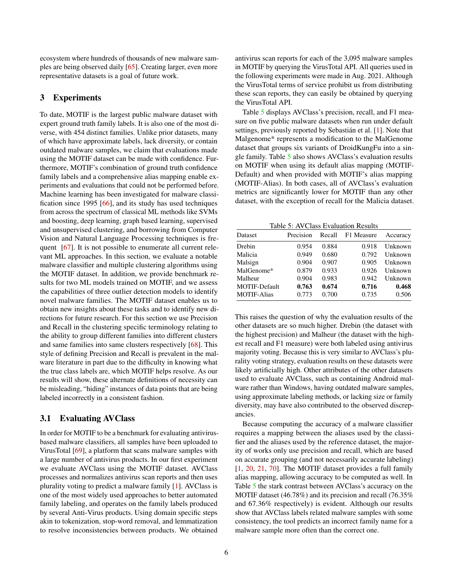ecosystem where hundreds of thousands of new malware samples are being observed daily [\[65\]](#page-11-1). Creating larger, even more representative datasets is a goal of future work.

## <span id="page-5-0"></span>3 Experiments

To date, MOTIF is the largest public malware dataset with expert ground truth family labels. It is also one of the most diverse, with 454 distinct families. Unlike prior datasets, many of which have approximate labels, lack diversity, or contain outdated malware samples, we claim that evaluations made using the MOTIF dataset can be made with confidence. Furthermore, MOTIF's combination of ground truth confidence family labels and a comprehensive alias mapping enable experiments and evaluations that could not be performed before. Machine learning has been investigated for malware classification since 1995 [\[66\]](#page-11-2), and its study has used techniques from across the spectrum of classical ML methods like SVMs and boosting, deep learning, graph based learning, supervised and unsupervised clustering, and borrowing from Computer Vision and Natural Language Processing techniques is fre-quent [\[67\]](#page-11-3). It is not possible to enumerate all current relevant ML approaches. In this section, we evaluate a notable malware classifier and multiple clustering algorithms using the MOTIF dataset. In addition, we provide benchmark results for two ML models trained on MOTIF, and we assess the capabilities of three outlier detection models to identify novel malware families. The MOTIF dataset enables us to obtain new insights about these tasks and to identify new directions for future research. For this section we use Precision and Recall in the clustering specific terminology relating to the ability to group different families into different clusters and same families into same clusters respectively [\[68\]](#page-11-4). This style of defining Precision and Recall is prevalent in the malware literature in part due to the difficulty in knowing what the true class labels are, which MOTIF helps resolve. As our results will show, these alternate definitions of necessity can be misleading, "hiding" instances of data points that are being labeled incorrectly in a consistent fashion.

# <span id="page-5-1"></span>3.1 Evaluating AVClass

In order for MOTIF to be a benchmark for evaluating antivirusbased malware classifiers, all samples have been uploaded to VirusTotal [\[69\]](#page-11-5), a platform that scans malware samples with a large number of antivirus products. In our first experiment we evaluate AVClass using the MOTIF dataset. AVClass processes and normalizes antivirus scan reports and then uses plurality voting to predict a malware family [\[1\]](#page-8-0). AVClass is one of the most widely used approaches to better automated family labeling, and operates on the family labels produced by several Anti-Virus products. Using domain specific steps akin to tokenization, stop-word removal, and lemmatization to resolve inconsistencies between products. We obtained

these scan reports, they can easily be obtained by querying the VirusTotal API. Table [5](#page-5-2) displays AVClass's precision, recall, and F1 measure on five public malware datasets when run under default settings, previously reported by Sebastián et al. [\[1\]](#page-8-0). Note that Malgenome\* represents a modification to the MalGenome

dataset that groups six variants of DroidKungFu into a single family. Table [5](#page-5-2) also shows AVClass's evaluation results on MOTIF when using its default alias mapping (MOTIF-Default) and when provided with MOTIF's alias mapping (MOTIF-Alias). In both cases, all of AVClass's evaluation metrics are significantly lower for MOTIF than any other dataset, with the exception of recall for the Malicia dataset.

antivirus scan reports for each of the 3,095 malware samples in MOTIF by querying the VirusTotal API. All queries used in the following experiments were made in Aug. 2021. Although the VirusTotal terms of service prohibit us from distributing

<span id="page-5-2"></span>Table 5: AVClass Evaluation Results

| Dataset              | Precision |       | Recall F1 Measure | Accuracy |
|----------------------|-----------|-------|-------------------|----------|
| Drebin               | 0.954     | 0.884 | 0.918             | Unknown  |
| Malicia              | 0.949     | 0.680 | 0.792             | Unknown  |
| Malsign              | 0.904     | 0.907 | 0.905             | Unknown  |
| MalGenome*           | 0.879     | 0.933 | 0.926             | Unknown  |
| Malheur              | 0.904     | 0.983 | 0.942             | Unknown  |
| <b>MOTIF-Default</b> | 0.763     | 0.674 | 0.716             | 0.468    |
| <b>MOTIF-Alias</b>   | 0.773     | 0.700 | 0.735             | 0.506    |

This raises the question of why the evaluation results of the other datasets are so much higher. Drebin (the dataset with the highest precision) and Malheur (the dataset with the highest recall and F1 measure) were both labeled using antivirus majority voting. Because this is very similar to AVClass's plurality voting strategy, evaluation results on these datasets were likely artificially high. Other attributes of the other datasets used to evaluate AVClass, such as containing Android malware rather than Windows, having outdated malware samples, using approximate labeling methods, or lacking size or family diversity, may have also contributed to the observed discrepancies.

Because computing the accuracy of a malware classifier requires a mapping between the aliases used by the classifier and the aliases used by the reference dataset, the majority of works only use precision and recall, which are based on accurate grouping (and not necessarily accurate labeling) [\[1,](#page-8-0) [20,](#page-9-4) [21,](#page-9-5) [70\]](#page-11-6). The MOTIF dataset provides a full family alias mapping, allowing accuracy to be computed as well. In Table [5](#page-5-2) the stark contrast between AVClass's accuracy on the MOTIF dataset (46.78%) and its precision and recall (76.35% and 67.36% respectively) is evident. Although our results show that AVClass labels related malware samples with some consistency, the tool predicts an incorrect family name for a malware sample more often than the correct one.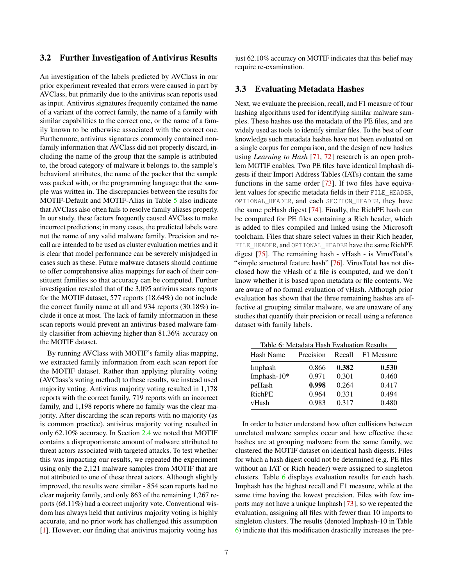#### 3.2 Further Investigation of Antivirus Results

An investigation of the labels predicted by AVClass in our prior experiment revealed that errors were caused in part by AVClass, but primarily due to the antivirus scan reports used as input. Antivirus signatures frequently contained the name of a variant of the correct family, the name of a family with similar capabilities to the correct one, or the name of a family known to be otherwise associated with the correct one. Furthermore, antivirus signatures commonly contained nonfamily information that AVClass did not properly discard, including the name of the group that the sample is attributed to, the broad category of malware it belongs to, the sample's behavioral attributes, the name of the packer that the sample was packed with, or the programming language that the sample was written in. The discrepancies between the results for MOTIF-Default and MOTIF-Alias in Table [5](#page-5-2) also indicate that AVClass also often fails to resolve family aliases properly. In our study, these factors frequently caused AVClass to make incorrect predictions; in many cases, the predicted labels were not the name of any valid malware family. Precision and recall are intended to be used as cluster evaluation metrics and it is clear that model performance can be severely misjudged in cases such as these. Future malware datasets should continue to offer comprehensive alias mappings for each of their constituent families so that accuracy can be computed. Further investigation revealed that of the 3,095 antivirus scans reports for the MOTIF dataset, 577 reports (18.64%) do not include the correct family name at all and 934 reports (30.18%) include it once at most. The lack of family information in these scan reports would prevent an antivirus-based malware family classifier from achieving higher than 81.36% accuracy on the MOTIF dataset.

By running AVClass with MOTIF's family alias mapping, we extracted family information from each scan report for the MOTIF dataset. Rather than applying plurality voting (AVClass's voting method) to these results, we instead used majority voting. Antivirus majority voting resulted in 1,178 reports with the correct family, 719 reports with an incorrect family, and 1,198 reports where no family was the clear majority. After discarding the scan reports with no majority (as is common practice), antivirus majority voting resulted in only 62.10% accuracy. In Section [2.4](#page-4-1) we noted that MOTIF contains a disproportionate amount of malware attributed to threat actors associated with targeted attacks. To test whether this was impacting our results, we repeated the experiment using only the 2,121 malware samples from MOTIF that are not attributed to one of these threat actors. Although slightly improved, the results were similar - 854 scan reports had no clear majority family, and only 863 of the remaining 1,267 reports (68.11%) had a correct majority vote. Conventional wisdom has always held that antivirus majority voting is highly accurate, and no prior work has challenged this assumption [\[1\]](#page-8-0). However, our finding that antivirus majority voting has

just 62.10% accuracy on MOTIF indicates that this belief may require re-examination.

## 3.3 Evaluating Metadata Hashes

Next, we evaluate the precision, recall, and F1 measure of four hashing algorithms used for identifying similar malware samples. These hashes use the metadata of the PE files, and are widely used as tools to identify similar files. To the best of our knowledge such metadata hashes have not been evaluated on a single corpus for comparison, and the design of new hashes using *Learning to Hash* [\[71,](#page-11-7) [72\]](#page-11-8) research is an open problem MOTIF enables. Two PE files have identical Imphash digests if their Import Address Tables (IATs) contain the same functions in the same order [\[73\]](#page-11-9). If two files have equivalent values for specific metadata fields in their FILE\_HEADER, OPTIONAL HEADER, and each SECTION HEADER, they have the same peHash digest [\[74\]](#page-11-10). Finally, the RichPE hash can be computed for PE files containing a Rich header, which is added to files compiled and linked using the Microsoft toolchain. Files that share select values in their Rich header, FILE HEADER, and OPTIONAL\_HEADER have the same RichPE digest [\[75\]](#page-11-11). The remaining hash - vHash - is VirusTotal's "simple structural feature hash" [\[76\]](#page-11-12). VirusTotal has not disclosed how the vHash of a file is computed, and we don't know whether it is based upon metadata or file contents. We are aware of no formal evaluation of vHash. Although prior evaluation has shown that the three remaining hashes are effective at grouping similar malware, we are unaware of any studies that quantify their precision or recall using a reference dataset with family labels.

<span id="page-6-0"></span>Table 6: Metadata Hash Evaluation Results

| Hash Name     | Precision | Recall | F1 Measure |
|---------------|-----------|--------|------------|
| Imphash       | 0.866     | 0.382  | 0.530      |
| Imphash-10*   | 0.971     | 0.301  | 0.460      |
| peHash        | 0.998     | 0.264  | 0.417      |
| <b>RichPE</b> | 0.964     | 0.331  | 0.494      |
| vHash         | 0.983     | 0.317  | 0.480      |

In order to better understand how often collisions between unrelated malware samples occur and how effective these hashes are at grouping malware from the same family, we clustered the MOTIF dataset on identical hash digests. Files for which a hash digest could not be determined (e.g. PE files without an IAT or Rich header) were assigned to singleton clusters. Table [6](#page-6-0) displays evaluation results for each hash. Imphash has the highest recall and F1 measure, while at the same time having the lowest precision. Files with few imports may not have a unique Imphash [\[73\]](#page-11-9), so we repeated the evaluation, assigning all files with fewer than 10 imports to singleton clusters. The results (denoted Imphash-10 in Table [6\)](#page-6-0) indicate that this modification drastically increases the pre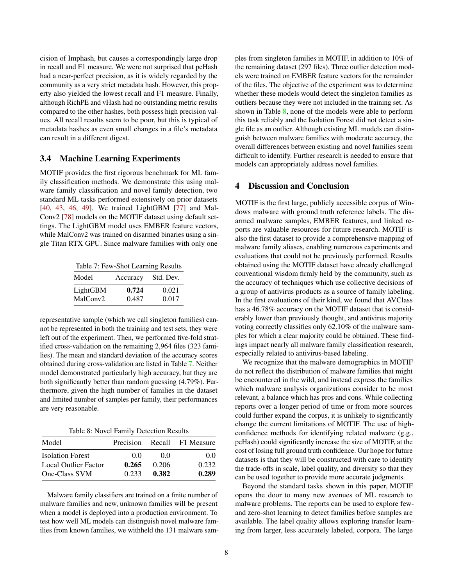cision of Imphash, but causes a correspondingly large drop in recall and F1 measure. We were not surprised that peHash had a near-perfect precision, as it is widely regarded by the community as a very strict metadata hash. However, this property also yielded the lowest recall and F1 measure. Finally, although RichPE and vHash had no outstanding metric results compared to the other hashes, both possess high precision values. All recall results seem to be poor, but this is typical of metadata hashes as even small changes in a file's metadata can result in a different digest.

#### <span id="page-7-1"></span>3.4 Machine Learning Experiments

MOTIF provides the first rigorous benchmark for ML family classification methods. We demonstrate this using malware family classification and novel family detection, two standard ML tasks performed extensively on prior datasets [\[40,](#page-10-5) [43,](#page-10-8) [46,](#page-10-11) [49\]](#page-10-14). We trained LightGBM [\[77\]](#page-11-13) and Mal-Conv2 [\[78\]](#page-11-14) models on the MOTIF dataset using default settings. The LightGBM model uses EMBER feature vectors, while MalConv2 was trained on disarmed binaries using a single Titan RTX GPU. Since malware families with only one

<span id="page-7-2"></span>

|  | Table 7: Few-Shot Learning Results |  |  |  |
|--|------------------------------------|--|--|--|
|  |                                    |  |  |  |

| Model                | Accuracy | Std. Dev. |
|----------------------|----------|-----------|
| LightGBM             | 0.724    | 0.021     |
| MalConv <sub>2</sub> | 0.487    | 0.017     |

representative sample (which we call singleton families) cannot be represented in both the training and test sets, they were left out of the experiment. Then, we performed five-fold stratified cross-validation on the remaining 2,964 files (323 families). The mean and standard deviation of the accuracy scores obtained during cross-validation are listed in Table [7.](#page-7-2) Neither model demonstrated particularly high accuracy, but they are both significantly better than random guessing (4.79%). Furthermore, given the high number of families in the dataset and limited number of samples per family, their performances are very reasonable.

<span id="page-7-3"></span>Table 8: Novel Family Detection Results

| Model                   | Precision |       | Recall F1 Measure |
|-------------------------|-----------|-------|-------------------|
| <b>Isolation Forest</b> | 00        | 00    | 0.0               |
| Local Outlier Factor    | 0.265     | 0.206 | 0.232             |
| One-Class SVM           | 0.233     | 0.382 | 0.289             |

Malware family classifiers are trained on a finite number of malware families and new, unknown families will be present when a model is deployed into a production environment. To test how well ML models can distinguish novel malware families from known families, we withheld the 131 malware samples from singleton families in MOTIF, in addition to 10% of the remaining dataset (297 files). Three outlier detection models were trained on EMBER feature vectors for the remainder of the files. The objective of the experiment was to determine whether these models would detect the singleton families as outliers because they were not included in the training set. As shown in Table [8,](#page-7-3) none of the models were able to perform this task reliably and the Isolation Forest did not detect a single file as an outlier. Although existing ML models can distinguish between malware families with moderate accuracy, the overall differences between existing and novel families seem difficult to identify. Further research is needed to ensure that models can appropriately address novel families.

#### <span id="page-7-0"></span>4 Discussion and Conclusion

MOTIF is the first large, publicly accessible corpus of Windows malware with ground truth reference labels. The disarmed malware samples, EMBER features, and linked reports are valuable resources for future research. MOTIF is also the first dataset to provide a comprehensive mapping of malware family aliases, enabling numerous experiments and evaluations that could not be previously performed. Results obtained using the MOTIF dataset have already challenged conventional wisdom firmly held by the community, such as the accuracy of techniques which use collective decisions of a group of antivirus products as a source of family labeling. In the first evaluations of their kind, we found that AVClass has a 46.78% accuracy on the MOTIF dataset that is considerably lower than previously thought, and antivirus majority voting correctly classifies only 62.10% of the malware samples for which a clear majority could be obtained. These findings impact nearly all malware family classification research, especially related to antivirus-based labeling.

We recognize that the malware demographics in MOTIF do not reflect the distribution of malware families that might be encountered in the wild, and instead express the families which malware analysis organizations consider to be most relevant, a balance which has pros and cons. While collecting reports over a longer period of time or from more sources could further expand the corpus, it is unlikely to significantly change the current limitations of MOTIF. The use of highconfidence methods for identifying related malware (g.g., peHash) could significantly increase the size of MOTIF, at the cost of losing full ground truth confidence. Our hope for future datasets is that they will be constructed with care to identify the trade-offs in scale, label quality, and diversity so that they can be used together to provide more accurate judgments.

Beyond the standard tasks shown in this paper, MOTIF opens the door to many new avenues of ML research to malware problems. The reports can be used to explore fewand zero-shot learning to detect families before samples are available. The label quality allows exploring transfer learning from larger, less accurately labeled, corpora. The large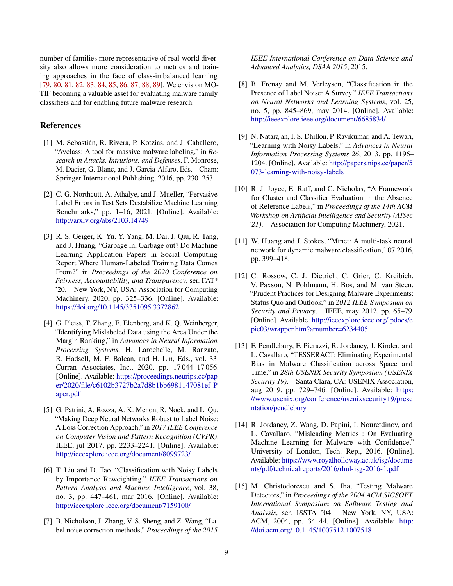number of families more representative of real-world diversity also allows more consideration to metrics and training approaches in the face of class-imbalanced learning [\[79,](#page-11-15) [80,](#page-11-16) [81,](#page-11-17) [82,](#page-12-0) [83,](#page-12-1) [84,](#page-12-2) [85,](#page-12-3) [86,](#page-12-4) [87,](#page-12-5) [88,](#page-12-6) [89\]](#page-12-7). We envision MO-TIF becoming a valuable asset for evaluating malware family classifiers and for enabling future malware research.

#### References

- <span id="page-8-0"></span>[1] M. Sebastián, R. Rivera, P. Kotzias, and J. Caballero, "Avclass: A tool for massive malware labeling," in *Research in Attacks, Intrusions, and Defenses*, F. Monrose, M. Dacier, G. Blanc, and J. Garcia-Alfaro, Eds. Cham: Springer International Publishing, 2016, pp. 230–253.
- <span id="page-8-1"></span>[2] C. G. Northcutt, A. Athalye, and J. Mueller, "Pervasive Label Errors in Test Sets Destabilize Machine Learning Benchmarks," pp. 1–16, 2021. [Online]. Available: <http://arxiv.org/abs/2103.14749>
- <span id="page-8-2"></span>[3] R. S. Geiger, K. Yu, Y. Yang, M. Dai, J. Qiu, R. Tang, and J. Huang, "Garbage in, Garbage out? Do Machine Learning Application Papers in Social Computing Report Where Human-Labeled Training Data Comes From?" in *Proceedings of the 2020 Conference on Fairness, Accountability, and Transparency*, ser. FAT\* '20. New York, NY, USA: Association for Computing Machinery, 2020, pp. 325–336. [Online]. Available: <https://doi.org/10.1145/3351095.3372862>
- <span id="page-8-3"></span>[4] G. Pleiss, T. Zhang, E. Elenberg, and K. Q. Weinberger, "Identifying Mislabeled Data using the Area Under the Margin Ranking," in *Advances in Neural Information Processing Systems*, H. Larochelle, M. Ranzato, R. Hadsell, M. F. Balcan, and H. Lin, Eds., vol. 33. Curran Associates, Inc., 2020, pp. 17 044–17 056. [Online]. Available: [https://proceedings.neurips.cc/pap](https://proceedings.neurips.cc/paper/2020/file/c6102b3727b2a7d8b1bb6981147081ef-Paper.pdf) [er/2020/file/c6102b3727b2a7d8b1bb6981147081ef-P](https://proceedings.neurips.cc/paper/2020/file/c6102b3727b2a7d8b1bb6981147081ef-Paper.pdf) [aper.pdf](https://proceedings.neurips.cc/paper/2020/file/c6102b3727b2a7d8b1bb6981147081ef-Paper.pdf)
- <span id="page-8-4"></span>[5] G. Patrini, A. Rozza, A. K. Menon, R. Nock, and L. Qu, "Making Deep Neural Networks Robust to Label Noise: A Loss Correction Approach," in *2017 IEEE Conference on Computer Vision and Pattern Recognition (CVPR)*. IEEE, jul 2017, pp. 2233–2241. [Online]. Available: <http://ieeexplore.ieee.org/document/8099723/>
- <span id="page-8-5"></span>[6] T. Liu and D. Tao, "Classification with Noisy Labels by Importance Reweighting," *IEEE Transactions on Pattern Analysis and Machine Intelligence*, vol. 38, no. 3, pp. 447–461, mar 2016. [Online]. Available: <http://ieeexplore.ieee.org/document/7159100/>
- <span id="page-8-6"></span>[7] B. Nicholson, J. Zhang, V. S. Sheng, and Z. Wang, "Label noise correction methods," *Proceedings of the 2015*

*IEEE International Conference on Data Science and Advanced Analytics, DSAA 2015*, 2015.

- <span id="page-8-7"></span>[8] B. Frenay and M. Verleysen, "Classification in the Presence of Label Noise: A Survey," *IEEE Transactions on Neural Networks and Learning Systems*, vol. 25, no. 5, pp. 845–869, may 2014. [Online]. Available: <http://ieeexplore.ieee.org/document/6685834/>
- <span id="page-8-8"></span>[9] N. Natarajan, I. S. Dhillon, P. Ravikumar, and A. Tewari, "Learning with Noisy Labels," in *Advances in Neural Information Processing Systems 26*, 2013, pp. 1196– 1204. [Online]. Available: [http://papers.nips.cc/paper/5](http://papers.nips.cc/paper/5073-learning-with-noisy-labels) [073-learning-with-noisy-labels](http://papers.nips.cc/paper/5073-learning-with-noisy-labels)
- <span id="page-8-9"></span>[10] R. J. Joyce, E. Raff, and C. Nicholas, "A Framework for Cluster and Classifier Evaluation in the Absence of Reference Labels," in *Proceedings of the 14th ACM Workshop on Artificial Intelligence and Security (AISec '21)*. Association for Computing Machinery, 2021.
- <span id="page-8-10"></span>[11] W. Huang and J. Stokes, "Mtnet: A multi-task neural network for dynamic malware classification," 07 2016, pp. 399–418.
- <span id="page-8-11"></span>[12] C. Rossow, C. J. Dietrich, C. Grier, C. Kreibich, V. Paxson, N. Pohlmann, H. Bos, and M. van Steen, "Prudent Practices for Designing Malware Experiments: Status Quo and Outlook," in *2012 IEEE Symposium on Security and Privacy*. IEEE, may 2012, pp. 65–79. [Online]. Available: [http://ieeexplore.ieee.org/lpdocs/e](http://ieeexplore.ieee.org/lpdocs/epic03/wrapper.htm?arnumber=6234405) [pic03/wrapper.htm?arnumber=6234405](http://ieeexplore.ieee.org/lpdocs/epic03/wrapper.htm?arnumber=6234405)
- <span id="page-8-12"></span>[13] F. Pendlebury, F. Pierazzi, R. Jordaney, J. Kinder, and L. Cavallaro, "TESSERACT: Eliminating Experimental Bias in Malware Classification across Space and Time," in *28th USENIX Security Symposium (USENIX Security 19)*. Santa Clara, CA: USENIX Association, aug 2019, pp. 729–746. [Online]. Available: [https:](https://www.usenix.org/conference/usenixsecurity19/presentation/pendlebury) [//www.usenix.org/conference/usenixsecurity19/prese](https://www.usenix.org/conference/usenixsecurity19/presentation/pendlebury) [ntation/pendlebury](https://www.usenix.org/conference/usenixsecurity19/presentation/pendlebury)
- <span id="page-8-13"></span>[14] R. Jordaney, Z. Wang, D. Papini, I. Nouretdinov, and L. Cavallaro, "Misleading Metrics : On Evaluating Machine Learning for Malware with Confidence," University of London, Tech. Rep., 2016. [Online]. Available: [https://www.royalholloway.ac.uk/isg/docume](https://www.royalholloway.ac.uk/isg/documents/pdf/technicalreports/2016/rhul-isg-2016-1.pdf) [nts/pdf/technicalreports/2016/rhul-isg-2016-1.pdf](https://www.royalholloway.ac.uk/isg/documents/pdf/technicalreports/2016/rhul-isg-2016-1.pdf)
- <span id="page-8-14"></span>[15] M. Christodorescu and S. Jha, "Testing Malware" Detectors," in *Proceedings of the 2004 ACM SIGSOFT International Symposium on Software Testing and Analysis*, ser. ISSTA '04. New York, NY, USA: ACM, 2004, pp. 34–44. [Online]. Available: [http:](http://doi.acm.org/10.1145/1007512.1007518) [//doi.acm.org/10.1145/1007512.1007518](http://doi.acm.org/10.1145/1007512.1007518)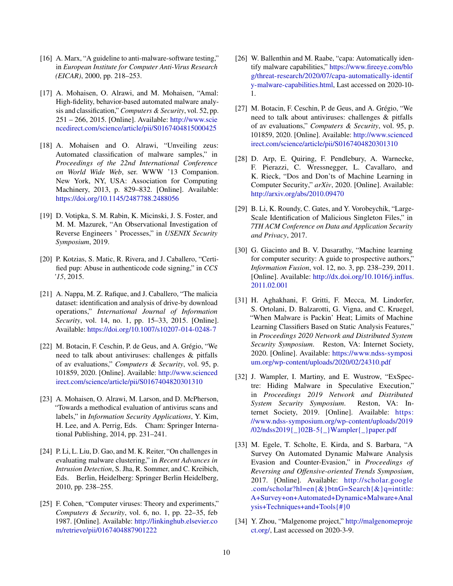- <span id="page-9-0"></span>[16] A. Marx, "A guideline to anti-malware-software testing," in *European Institute for Computer Anti-Virus Research (EICAR)*, 2000, pp. 218–253.
- <span id="page-9-1"></span>[17] A. Mohaisen, O. Alrawi, and M. Mohaisen, "Amal: High-fidelity, behavior-based automated malware analysis and classification," *Computers & Security*, vol. 52, pp. 251 – 266, 2015. [Online]. Available: [http://www.scie](http://www.sciencedirect.com/science/article/pii/S0167404815000425) [ncedirect.com/science/article/pii/S0167404815000425](http://www.sciencedirect.com/science/article/pii/S0167404815000425)
- <span id="page-9-2"></span>[18] A. Mohaisen and O. Alrawi, "Unveiling zeus: Automated classification of malware samples," in *Proceedings of the 22nd International Conference on World Wide Web*, ser. WWW '13 Companion. New York, NY, USA: Association for Computing Machinery, 2013, p. 829–832. [Online]. Available: <https://doi.org/10.1145/2487788.2488056>
- <span id="page-9-3"></span>[19] D. Votipka, S. M. Rabin, K. Micinski, J. S. Foster, and M. M. Mazurek, "An Observational Investigation of Reverse Engineers ' Processes," in *USENIX Security Symposium*, 2019.
- <span id="page-9-4"></span>[20] P. Kotzias, S. Matic, R. Rivera, and J. Caballero, "Certified pup: Abuse in authenticode code signing," in *CCS '15*, 2015.
- <span id="page-9-5"></span>[21] A. Nappa, M. Z. Rafique, and J. Caballero, "The malicia" dataset: identification and analysis of drive-by download operations," *International Journal of Information Security*, vol. 14, no. 1, pp. 15–33, 2015. [Online]. Available: <https://doi.org/10.1007/s10207-014-0248-7>
- <span id="page-9-6"></span>[22] M. Botacin, F. Ceschin, P. de Geus, and A. Grégio, "We need to talk about antiviruses: challenges & pitfalls of av evaluations," *Computers & Security*, vol. 95, p. 101859, 2020. [Online]. Available: [http://www.scienced](http://www.sciencedirect.com/science/article/pii/S0167404820301310) [irect.com/science/article/pii/S0167404820301310](http://www.sciencedirect.com/science/article/pii/S0167404820301310)
- <span id="page-9-7"></span>[23] A. Mohaisen, O. Alrawi, M. Larson, and D. McPherson, "Towards a methodical evaluation of antivirus scans and labels," in *Information Security Applications*, Y. Kim, H. Lee, and A. Perrig, Eds. Cham: Springer International Publishing, 2014, pp. 231–241.
- <span id="page-9-8"></span>[24] P. Li, L. Liu, D. Gao, and M. K. Reiter, "On challenges in evaluating malware clustering," in *Recent Advances in Intrusion Detection*, S. Jha, R. Sommer, and C. Kreibich, Eds. Berlin, Heidelberg: Springer Berlin Heidelberg, 2010, pp. 238–255.
- <span id="page-9-9"></span>[25] F. Cohen, "Computer viruses: Theory and experiments," *Computers & Security*, vol. 6, no. 1, pp. 22–35, feb 1987. [Online]. Available: [http://linkinghub.elsevier.co](http://linkinghub.elsevier.com/retrieve/pii/0167404887901222) [m/retrieve/pii/0167404887901222](http://linkinghub.elsevier.com/retrieve/pii/0167404887901222)
- <span id="page-9-10"></span>[26] W. Ballenthin and M. Raabe, "capa: Automatically identify malware capabilities," [https://www.fireeye.com/blo](https://www.fireeye.com/blog/threat-research/2020/07/capa-automatically-identify-malware-capabilities.html) [g/threat-research/2020/07/capa-automatically-identif](https://www.fireeye.com/blog/threat-research/2020/07/capa-automatically-identify-malware-capabilities.html) [y-malware-capabilities.html,](https://www.fireeye.com/blog/threat-research/2020/07/capa-automatically-identify-malware-capabilities.html) Last accessed on 2020-10- 1.
- <span id="page-9-11"></span>[27] M. Botacin, F. Ceschin, P. de Geus, and A. Grégio, "We need to talk about antiviruses: challenges & pitfalls of av evaluations," *Computers & Security*, vol. 95, p. 101859, 2020. [Online]. Available: [http://www.scienced](http://www.sciencedirect.com/science/article/pii/S0167404820301310) [irect.com/science/article/pii/S0167404820301310](http://www.sciencedirect.com/science/article/pii/S0167404820301310)
- <span id="page-9-12"></span>[28] D. Arp, E. Quiring, F. Pendlebury, A. Warnecke, F. Pierazzi, C. Wressnegger, L. Cavallaro, and K. Rieck, "Dos and Don'ts of Machine Learning in Computer Security," *arXiv*, 2020. [Online]. Available: <http://arxiv.org/abs/2010.09470>
- <span id="page-9-13"></span>[29] B. Li, K. Roundy, C. Gates, and Y. Vorobeychik, "Large-Scale Identification of Malicious Singleton Files," in *7TH ACM Conference on Data and Application Security and Privacy*, 2017.
- <span id="page-9-14"></span>[30] G. Giacinto and B. V. Dasarathy, "Machine learning for computer security: A guide to prospective authors," *Information Fusion*, vol. 12, no. 3, pp. 238–239, 2011. [Online]. Available: [http://dx.doi.org/10.1016/j.inffus.](http://dx.doi.org/10.1016/j.inffus.2011.02.001) [2011.02.001](http://dx.doi.org/10.1016/j.inffus.2011.02.001)
- <span id="page-9-15"></span>[31] H. Aghakhani, F. Gritti, F. Mecca, M. Lindorfer, S. Ortolani, D. Balzarotti, G. Vigna, and C. Kruegel, "When Malware is Packin' Heat; Limits of Machine Learning Classifiers Based on Static Analysis Features," in *Proceedings 2020 Network and Distributed System Security Symposium*. Reston, VA: Internet Society, 2020. [Online]. Available: [https://www.ndss-symposi](https://www.ndss-symposium.org/wp-content/uploads/2020/02/24310.pdf) [um.org/wp-content/uploads/2020/02/24310.pdf](https://www.ndss-symposium.org/wp-content/uploads/2020/02/24310.pdf)
- <span id="page-9-16"></span>[32] J. Wampler, I. Martiny, and E. Wustrow, "ExSpectre: Hiding Malware in Speculative Execution," in *Proceedings 2019 Network and Distributed System Security Symposium*. Reston, VA: Internet Society, 2019. [Online]. Available: [https:](https://www.ndss-symposium.org/wp-content/uploads/2019/02/ndss2019{_}02B-5{_}Wampler{_}paper.pdf) [//www.ndss-symposium.org/wp-content/uploads/2019](https://www.ndss-symposium.org/wp-content/uploads/2019/02/ndss2019{_}02B-5{_}Wampler{_}paper.pdf) [/02/ndss2019{\\_}02B-5{\\_}Wampler{\\_}paper.pdf](https://www.ndss-symposium.org/wp-content/uploads/2019/02/ndss2019{_}02B-5{_}Wampler{_}paper.pdf)
- <span id="page-9-17"></span>[33] M. Egele, T. Scholte, E. Kirda, and S. Barbara, "A Survey On Automated Dynamic Malware Analysis Evasion and Counter-Evasion," in *Proceedings of Reversing and Offensive-oriented Trends Symposium*, 2017. [Online]. Available: [http://scholar.google](http://scholar.google.com/scholar?hl=en{&}btnG=Search{&}q=intitle:A+Survey+on+Automated+Dynamic+Malware+Analysis+Techniques+and+Tools{#}0) [.com/scholar?hl=en{&}btnG=Search{&}q=intitle:](http://scholar.google.com/scholar?hl=en{&}btnG=Search{&}q=intitle:A+Survey+on+Automated+Dynamic+Malware+Analysis+Techniques+and+Tools{#}0) [A+Survey+on+Automated+Dynamic+Malware+Anal](http://scholar.google.com/scholar?hl=en{&}btnG=Search{&}q=intitle:A+Survey+on+Automated+Dynamic+Malware+Analysis+Techniques+and+Tools{#}0) [ysis+Techniques+and+Tools{#}0](http://scholar.google.com/scholar?hl=en{&}btnG=Search{&}q=intitle:A+Survey+on+Automated+Dynamic+Malware+Analysis+Techniques+and+Tools{#}0)
- <span id="page-9-18"></span>[34] Y. Zhou, "Malgenome project," [http://malgenomeproje](http://malgenomeproject.org/) [ct.org/,](http://malgenomeproject.org/) Last accessed on 2020-3-9.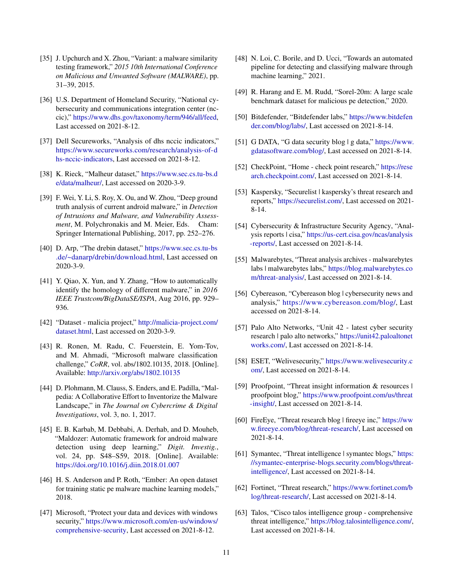- <span id="page-10-0"></span>[35] J. Upchurch and X. Zhou, "Variant: a malware similarity testing framework," *2015 10th International Conference on Malicious and Unwanted Software (MALWARE)*, pp. 31–39, 2015.
- <span id="page-10-1"></span>[36] U.S. Department of Homeland Security, "National cybersecurity and communications integration center (nccic)," [https://www.dhs.gov/taxonomy/term/946/all/feed,](https://www.dhs.gov/taxonomy/term/946/all/feed) Last accessed on 2021-8-12.
- <span id="page-10-2"></span>[37] Dell Secureworks, "Analysis of dhs nccic indicators," [https://www.secureworks.com/research/analysis-of-d](https://www.secureworks.com/research/analysis-of-dhs-nccic-indicators) [hs-nccic-indicators,](https://www.secureworks.com/research/analysis-of-dhs-nccic-indicators) Last accessed on 2021-8-12.
- <span id="page-10-3"></span>[38] K. Rieck, "Malheur dataset," [https://www.sec.cs.tu-bs.d](https://www.sec.cs.tu-bs.de/data/malheur/) [e/data/malheur/,](https://www.sec.cs.tu-bs.de/data/malheur/) Last accessed on 2020-3-9.
- <span id="page-10-4"></span>[39] F. Wei, Y. Li, S. Roy, X. Ou, and W. Zhou, "Deep ground truth analysis of current android malware," in *Detection of Intrusions and Malware, and Vulnerability Assessment*, M. Polychronakis and M. Meier, Eds. Cham: Springer International Publishing, 2017, pp. 252–276.
- <span id="page-10-5"></span>[40] D. Arp, "The drebin dataset," [https://www.sec.cs.tu-bs](https://www.sec.cs.tu-bs.de/~danarp/drebin/download.html) [.de/~danarp/drebin/download.html,](https://www.sec.cs.tu-bs.de/~danarp/drebin/download.html) Last accessed on 2020-3-9.
- <span id="page-10-6"></span>[41] Y. Qiao, X. Yun, and Y. Zhang, "How to automatically identify the homology of different malware," in *2016 IEEE Trustcom/BigDataSE/ISPA*, Aug 2016, pp. 929– 936.
- <span id="page-10-7"></span>[42] "Dataset - malicia project," [http://malicia-project.com/](http://malicia-project.com/dataset.html) [dataset.html,](http://malicia-project.com/dataset.html) Last accessed on 2020-3-9.
- <span id="page-10-8"></span>[43] R. Ronen, M. Radu, C. Feuerstein, E. Yom-Tov, and M. Ahmadi, "Microsoft malware classification challenge," *CoRR*, vol. abs/1802.10135, 2018. [Online]. Available: <http://arxiv.org/abs/1802.10135>
- <span id="page-10-9"></span>[44] D. Plohmann, M. Clauss, S. Enders, and E. Padilla, "Malpedia: A Collaborative Effort to Inventorize the Malware Landscape," in *The Journal on Cybercrime & Digital Investigations*, vol. 3, no. 1, 2017.
- <span id="page-10-10"></span>[45] E. B. Karbab, M. Debbabi, A. Derhab, and D. Mouheb, "Maldozer: Automatic framework for android malware detection using deep learning," *Digit. Investig.*, vol. 24, pp. S48–S59, 2018. [Online]. Available: <https://doi.org/10.1016/j.diin.2018.01.007>
- <span id="page-10-11"></span>[46] H. S. Anderson and P. Roth, "Ember: An open dataset for training static pe malware machine learning models," 2018.
- <span id="page-10-12"></span>[47] Microsoft, "Protect your data and devices with windows security," [https://www.microsoft.com/en-us/windows/](https://www.microsoft.com/en-us/windows/comprehensive-security) [comprehensive-security,](https://www.microsoft.com/en-us/windows/comprehensive-security) Last accessed on 2021-8-12.
- <span id="page-10-13"></span>[48] N. Loi, C. Borile, and D. Ucci, "Towards an automated pipeline for detecting and classifying malware through machine learning," 2021.
- <span id="page-10-14"></span>[49] R. Harang and E. M. Rudd, "Sorel-20m: A large scale benchmark dataset for malicious pe detection," 2020.
- <span id="page-10-15"></span>[50] Bitdefender, "Bitdefender labs," [https://www.bitdefen](https://www.bitdefender.com/blog/labs/) [der.com/blog/labs/,](https://www.bitdefender.com/blog/labs/) Last accessed on 2021-8-14.
- <span id="page-10-16"></span>[51] G DATA, "G data security blog | g data," [https://www.](https://www.gdatasoftware.com/blog/) [gdatasoftware.com/blog/,](https://www.gdatasoftware.com/blog/) Last accessed on 2021-8-14.
- <span id="page-10-17"></span>[52] CheckPoint, "Home - check point research," [https://rese](https://research.checkpoint.com/) [arch.checkpoint.com/,](https://research.checkpoint.com/) Last accessed on 2021-8-14.
- <span id="page-10-18"></span>[53] Kaspersky, "Securelist | kaspersky's threat research and reports," [https://securelist.com/,](https://securelist.com/) Last accessed on 2021- 8-14.
- <span id="page-10-19"></span>[54] Cybersecurity & Infrastructure Security Agency, "Analysis reports | cisa," [https://us-cert.cisa.gov/ncas/analysis](https://us-cert.cisa.gov/ncas/analysis-reports/) [-reports/,](https://us-cert.cisa.gov/ncas/analysis-reports/) Last accessed on 2021-8-14.
- <span id="page-10-20"></span>[55] Malwarebytes, "Threat analysis archives - malwarebytes labs | malwarebytes labs," [https://blog.malwarebytes.co](https://blog.malwarebytes.com/threat-analysis/) [m/threat-analysis/,](https://blog.malwarebytes.com/threat-analysis/) Last accessed on 2021-8-14.
- <span id="page-10-21"></span>[56] Cybereason, "Cybereason blog | cybersecurity news and analysis," [https://www.cybereason.com/blog/,](https://www.cybereason.com/blog/) Last accessed on 2021-8-14.
- <span id="page-10-22"></span>[57] Palo Alto Networks, "Unit 42 - latest cyber security research | palo alto networks," [https://unit42.paloaltonet](https://unit42.paloaltonetworks.com/) [works.com/,](https://unit42.paloaltonetworks.com/) Last accessed on 2021-8-14.
- <span id="page-10-23"></span>[58] ESET, "Welivesecurity," [https://www.welivesecurity.c](https://www.welivesecurity.com/) [om/,](https://www.welivesecurity.com/) Last accessed on 2021-8-14.
- <span id="page-10-24"></span>[59] Proofpoint, "Threat insight information & resources | proofpoint blog," [https://www.proofpoint.com/us/threat](https://www.proofpoint.com/us/threat-insight/) [-insight/,](https://www.proofpoint.com/us/threat-insight/) Last accessed on 2021-8-14.
- <span id="page-10-25"></span>[60] FireEye, "Threat research blog | fireeye inc," [https://ww](https://www.fireeye.com/blog/threat-research/) [w.fireeye.com/blog/threat-research/,](https://www.fireeye.com/blog/threat-research/) Last accessed on 2021-8-14.
- <span id="page-10-26"></span>[61] Symantec, "Threat intelligence | symantec blogs," [https:](https://symantec-enterprise-blogs.security.com/blogs/threat-intelligence/) [//symantec-enterprise-blogs.security.com/blogs/threat](https://symantec-enterprise-blogs.security.com/blogs/threat-intelligence/)[intelligence/,](https://symantec-enterprise-blogs.security.com/blogs/threat-intelligence/) Last accessed on 2021-8-14.
- <span id="page-10-27"></span>[62] Fortinet, "Threat research," [https://www.fortinet.com/b](https://www.fortinet.com/blog/threat-research/) [log/threat-research/,](https://www.fortinet.com/blog/threat-research/) Last accessed on 2021-8-14.
- <span id="page-10-28"></span>[63] Talos, "Cisco talos intelligence group - comprehensive threat intelligence," [https://blog.talosintelligence.com/,](https://blog.talosintelligence.com/) Last accessed on 2021-8-14.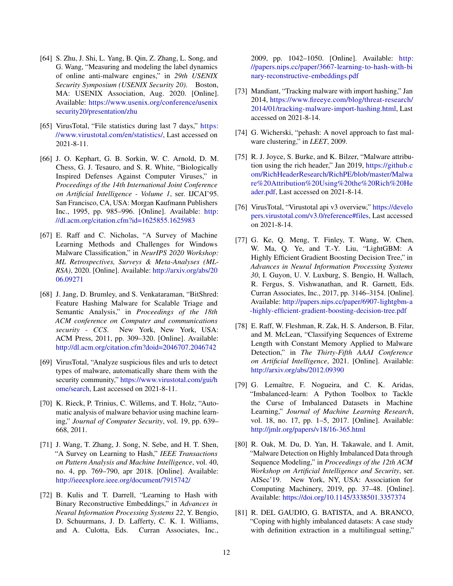- <span id="page-11-0"></span>[64] S. Zhu, J. Shi, L. Yang, B. Qin, Z. Zhang, L. Song, and G. Wang, "Measuring and modeling the label dynamics of online anti-malware engines," in *29th USENIX Security Symposium (USENIX Security 20)*. Boston, MA: USENIX Association, Aug. 2020. [Online]. Available: [https://www.usenix.org/conference/usenix](https://www.usenix.org/conference/usenixsecurity20/presentation/zhu) [security20/presentation/zhu](https://www.usenix.org/conference/usenixsecurity20/presentation/zhu)
- <span id="page-11-1"></span>[65] VirusTotal, "File statistics during last 7 days," [https:](https://www.virustotal.com/en/statistics/) [//www.virustotal.com/en/statistics/,](https://www.virustotal.com/en/statistics/) Last accessed on 2021-8-11.
- <span id="page-11-2"></span>[66] J. O. Kephart, G. B. Sorkin, W. C. Arnold, D. M. Chess, G. J. Tesauro, and S. R. White, "Biologically Inspired Defenses Against Computer Viruses," in *Proceedings of the 14th International Joint Conference on Artificial Intelligence - Volume 1*, ser. IJCAI'95. San Francisco, CA, USA: Morgan Kaufmann Publishers Inc., 1995, pp. 985–996. [Online]. Available: [http:](http://dl.acm.org/citation.cfm?id=1625855.1625983) [//dl.acm.org/citation.cfm?id=1625855.1625983](http://dl.acm.org/citation.cfm?id=1625855.1625983)
- <span id="page-11-3"></span>[67] E. Raff and C. Nicholas, "A Survey of Machine Learning Methods and Challenges for Windows Malware Classification," in *NeurIPS 2020 Workshop: ML Retrospectives, Surveys & Meta-Analyses (ML-RSA)*, 2020. [Online]. Available: [http://arxiv.org/abs/20](http://arxiv.org/abs/2006.09271) [06.09271](http://arxiv.org/abs/2006.09271)
- <span id="page-11-4"></span>[68] J. Jang, D. Brumley, and S. Venkataraman, "BitShred: Feature Hashing Malware for Scalable Triage and Semantic Analysis," in *Proceedings of the 18th ACM conference on Computer and communications security - CCS*. New York, New York, USA: ACM Press, 2011, pp. 309–320. [Online]. Available: <http://dl.acm.org/citation.cfm?doid=2046707.2046742>
- <span id="page-11-5"></span>[69] VirusTotal, "Analyze suspicious files and urls to detect types of malware, automatically share them with the security community," [https://www.virustotal.com/gui/h](https://www.virustotal.com/gui/home/search) [ome/search,](https://www.virustotal.com/gui/home/search) Last accessed on 2021-8-11.
- <span id="page-11-6"></span>[70] K. Rieck, P. Trinius, C. Willems, and T. Holz, "Automatic analysis of malware behavior using machine learning," *Journal of Computer Security*, vol. 19, pp. 639– 668, 2011.
- <span id="page-11-7"></span>[71] J. Wang, T. Zhang, J. Song, N. Sebe, and H. T. Shen, "A Survey on Learning to Hash," *IEEE Transactions on Pattern Analysis and Machine Intelligence*, vol. 40, no. 4, pp. 769–790, apr 2018. [Online]. Available: <http://ieeexplore.ieee.org/document/7915742/>
- <span id="page-11-8"></span>[72] B. Kulis and T. Darrell, "Learning to Hash with Binary Reconstructive Embeddings," in *Advances in Neural Information Processing Systems 22*, Y. Bengio, D. Schuurmans, J. D. Lafferty, C. K. I. Williams, and A. Culotta, Eds. Curran Associates, Inc.,

2009, pp. 1042–1050. [Online]. Available: [http:](http://papers.nips.cc/paper/3667-learning-to-hash-with-binary-reconstructive-embeddings.pdf) [//papers.nips.cc/paper/3667-learning-to-hash-with-bi](http://papers.nips.cc/paper/3667-learning-to-hash-with-binary-reconstructive-embeddings.pdf) [nary-reconstructive-embeddings.pdf](http://papers.nips.cc/paper/3667-learning-to-hash-with-binary-reconstructive-embeddings.pdf)

- <span id="page-11-9"></span>[73] Mandiant, "Tracking malware with import hashing," Jan 2014, [https://www.fireeye.com/blog/threat-research/](https://www.fireeye.com/blog/threat-research/2014/01/tracking-malware-import-hashing.html) [2014/01/tracking-malware-import-hashing.html,](https://www.fireeye.com/blog/threat-research/2014/01/tracking-malware-import-hashing.html) Last accessed on 2021-8-14.
- <span id="page-11-10"></span>[74] G. Wicherski, "pehash: A novel approach to fast malware clustering," in *LEET*, 2009.
- <span id="page-11-11"></span>[75] R. J. Joyce, S. Burke, and K. Bilzer, "Malware attribution using the rich header," Jan 2019, [https://github.c](https://github.com/RichHeaderResearch/RichPE/blob/master/Malware%20Attribution%20Using%20the%20Rich%20Header.pdf) [om/RichHeaderResearch/RichPE/blob/master/Malwa](https://github.com/RichHeaderResearch/RichPE/blob/master/Malware%20Attribution%20Using%20the%20Rich%20Header.pdf) [re%20Attribution%20Using%20the%20Rich%20He](https://github.com/RichHeaderResearch/RichPE/blob/master/Malware%20Attribution%20Using%20the%20Rich%20Header.pdf) [ader.pdf,](https://github.com/RichHeaderResearch/RichPE/blob/master/Malware%20Attribution%20Using%20the%20Rich%20Header.pdf) Last accessed on 2021-8-14.
- <span id="page-11-12"></span>[76] VirusTotal, "Virustotal api v3 overview," [https://develo](https://developers.virustotal.com/v3.0/reference#files) [pers.virustotal.com/v3.0/reference#files,](https://developers.virustotal.com/v3.0/reference#files) Last accessed on 2021-8-14.
- <span id="page-11-13"></span>[77] G. Ke, Q. Meng, T. Finley, T. Wang, W. Chen, W. Ma, Q. Ye, and T.-Y. Liu, "LightGBM: A Highly Efficient Gradient Boosting Decision Tree," in *Advances in Neural Information Processing Systems 30*, I. Guyon, U. V. Luxburg, S. Bengio, H. Wallach, R. Fergus, S. Vishwanathan, and R. Garnett, Eds. Curran Associates, Inc., 2017, pp. 3146–3154. [Online]. Available: [http://papers.nips.cc/paper/6907-lightgbm-a](http://papers.nips.cc/paper/6907-lightgbm-a-highly-efficient-gradient-boosting-decision-tree.pdf) [-highly-efficient-gradient-boosting-decision-tree.pdf](http://papers.nips.cc/paper/6907-lightgbm-a-highly-efficient-gradient-boosting-decision-tree.pdf)
- <span id="page-11-14"></span>[78] E. Raff, W. Fleshman, R. Zak, H. S. Anderson, B. Filar, and M. McLean, "Classifying Sequences of Extreme Length with Constant Memory Applied to Malware Detection," in *The Thirty-Fifth AAAI Conference on Artificial Intelligence*, 2021. [Online]. Available: <http://arxiv.org/abs/2012.09390>
- <span id="page-11-15"></span>[79] G. Lemaître, F. Nogueira, and C. K. Aridas, "Imbalanced-learn: A Python Toolbox to Tackle the Curse of Imbalanced Datasets in Machine Learning," *Journal of Machine Learning Research*, vol. 18, no. 17, pp. 1–5, 2017. [Online]. Available: <http://jmlr.org/papers/v18/16-365.html>
- <span id="page-11-16"></span>[80] R. Oak, M. Du, D. Yan, H. Takawale, and I. Amit, "Malware Detection on Highly Imbalanced Data through Sequence Modeling," in *Proceedings of the 12th ACM Workshop on Artificial Intelligence and Security*, ser. AISec'19. New York, NY, USA: Association for Computing Machinery, 2019, pp. 37–48. [Online]. Available: <https://doi.org/10.1145/3338501.3357374>
- <span id="page-11-17"></span>[81] R. DEL GAUDIO, G. BATISTA, and A. BRANCO, "Coping with highly imbalanced datasets: A case study with definition extraction in a multilingual setting,"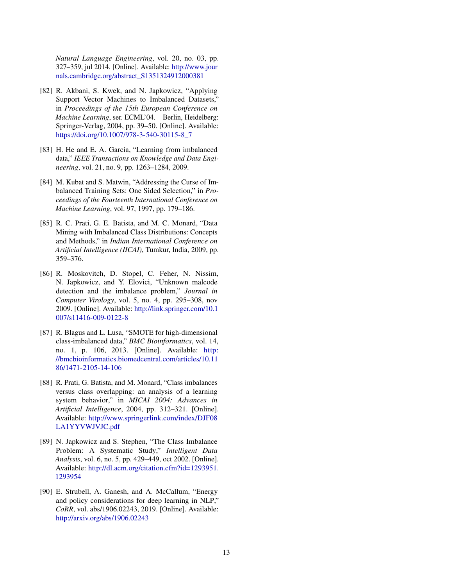*Natural Language Engineering*, vol. 20, no. 03, pp. 327–359, jul 2014. [Online]. Available: [http://www.jour](http://www.journals.cambridge.org/abstract_S1351324912000381) [nals.cambridge.org/abstract\\_S1351324912000381](http://www.journals.cambridge.org/abstract_S1351324912000381)

- <span id="page-12-0"></span>[82] R. Akbani, S. Kwek, and N. Japkowicz, "Applying Support Vector Machines to Imbalanced Datasets," in *Proceedings of the 15th European Conference on Machine Learning*, ser. ECML'04. Berlin, Heidelberg: Springer-Verlag, 2004, pp. 39–50. [Online]. Available: [https://doi.org/10.1007/978-3-540-30115-8\\_7](https://doi.org/10.1007/978-3-540-30115-8_7)
- <span id="page-12-1"></span>[83] H. He and E. A. Garcia, "Learning from imbalanced data," *IEEE Transactions on Knowledge and Data Engineering*, vol. 21, no. 9, pp. 1263–1284, 2009.
- <span id="page-12-2"></span>[84] M. Kubat and S. Matwin, "Addressing the Curse of Imbalanced Training Sets: One Sided Selection," in *Proceedings of the Fourteenth International Conference on Machine Learning*, vol. 97, 1997, pp. 179–186.
- <span id="page-12-3"></span>[85] R. C. Prati, G. E. Batista, and M. C. Monard, "Data Mining with Imbalanced Class Distributions: Concepts and Methods," in *Indian International Conference on Artificial Intelligence (IICAI)*, Tumkur, India, 2009, pp. 359–376.
- <span id="page-12-4"></span>[86] R. Moskovitch, D. Stopel, C. Feher, N. Nissim, N. Japkowicz, and Y. Elovici, "Unknown malcode detection and the imbalance problem," *Journal in Computer Virology*, vol. 5, no. 4, pp. 295–308, nov 2009. [Online]. Available: [http://link.springer.com/10.1](http://link.springer.com/10.1007/s11416-009-0122-8) [007/s11416-009-0122-8](http://link.springer.com/10.1007/s11416-009-0122-8)
- <span id="page-12-5"></span>[87] R. Blagus and L. Lusa, "SMOTE for high-dimensional class-imbalanced data," *BMC Bioinformatics*, vol. 14, no. 1, p. 106, 2013. [Online]. Available: [http:](http://bmcbioinformatics.biomedcentral.com/articles/10.1186/1471-2105-14-106) [//bmcbioinformatics.biomedcentral.com/articles/10.11](http://bmcbioinformatics.biomedcentral.com/articles/10.1186/1471-2105-14-106) [86/1471-2105-14-106](http://bmcbioinformatics.biomedcentral.com/articles/10.1186/1471-2105-14-106)
- <span id="page-12-6"></span>[88] R. Prati, G. Batista, and M. Monard, "Class imbalances" versus class overlapping: an analysis of a learning system behavior," in *MICAI 2004: Advances in Artificial Intelligence*, 2004, pp. 312–321. [Online]. Available: [http://www.springerlink.com/index/DJF08](http://www.springerlink.com/index/DJF08LA1YYVWJVJC.pdf) [LA1YYVWJVJC.pdf](http://www.springerlink.com/index/DJF08LA1YYVWJVJC.pdf)
- <span id="page-12-7"></span>[89] N. Japkowicz and S. Stephen, "The Class Imbalance Problem: A Systematic Study," *Intelligent Data Analysis*, vol. 6, no. 5, pp. 429–449, oct 2002. [Online]. Available: [http://dl.acm.org/citation.cfm?id=1293951.](http://dl.acm.org/citation.cfm?id=1293951.1293954) [1293954](http://dl.acm.org/citation.cfm?id=1293951.1293954)
- <span id="page-12-8"></span>[90] E. Strubell, A. Ganesh, and A. McCallum, "Energy and policy considerations for deep learning in NLP," *CoRR*, vol. abs/1906.02243, 2019. [Online]. Available: <http://arxiv.org/abs/1906.02243>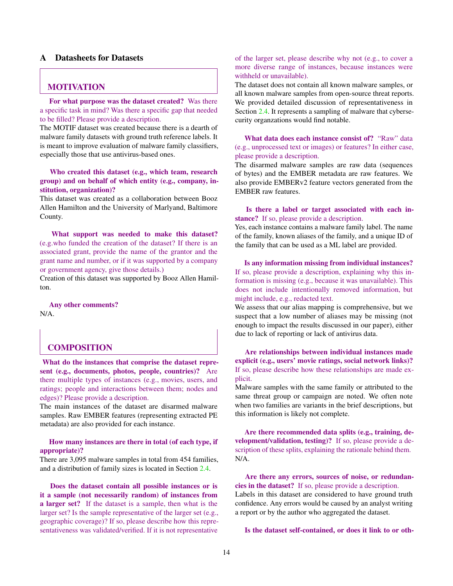# A Datasheets for Datasets

# MOTIVATION

For what purpose was the dataset created? Was there a specific task in mind? Was there a specific gap that needed to be filled? Please provide a description.

The MOTIF dataset was created because there is a dearth of malware family datasets with ground truth reference labels. It is meant to improve evaluation of malware family classifiers, especially those that use antivirus-based ones.

Who created this dataset (e.g., which team, research group) and on behalf of which entity (e.g., company, institution, organization)?

This dataset was created as a collaboration between Booz Allen Hamilton and the University of Marlyand, Baltimore County.

What support was needed to make this dataset? (e.g.who funded the creation of the dataset? If there is an associated grant, provide the name of the grantor and the grant name and number, or if it was supported by a company or government agency, give those details.)

Creation of this dataset was supported by Booz Allen Hamilton.

Any other comments?

N/A.

# COMPOSITION

What do the instances that comprise the dataset represent (e.g., documents, photos, people, countries)? Are there multiple types of instances (e.g., movies, users, and ratings; people and interactions between them; nodes and edges)? Please provide a description.

The main instances of the dataset are disarmed malware samples. Raw EMBER features (representing extracted PE metadata) are also provided for each instance.

#### How many instances are there in total (of each type, if appropriate)?

There are 3,095 malware samples in total from 454 families, and a distribution of family sizes is located in Section [2.4.](#page-4-1)

Does the dataset contain all possible instances or is it a sample (not necessarily random) of instances from a larger set? If the dataset is a sample, then what is the larger set? Is the sample representative of the larger set (e.g., geographic coverage)? If so, please describe how this representativeness was validated/verified. If it is not representative

of the larger set, please describe why not (e.g., to cover a more diverse range of instances, because instances were withheld or unavailable).

The dataset does not contain all known malware samples, or all known malware samples from open-source threat reports. We provided detailed discussion of representativeness in Section [2.4.](#page-4-1) It represents a sampling of malware that cybersecurity organzations would find notable.

What data does each instance consist of? "Raw" data (e.g., unprocessed text or images) or features? In either case, please provide a description.

The disarmed malware samples are raw data (sequences of bytes) and the EMBER metadata are raw features. We also provide EMBERv2 feature vectors generated from the EMBER raw features.

#### Is there a label or target associated with each instance? If so, please provide a description.

Yes, each instance contains a malware family label. The name of the family, known aliases of the family, and a unique ID of the family that can be used as a ML label are provided.

Is any information missing from individual instances? If so, please provide a description, explaining why this information is missing (e.g., because it was unavailable). This does not include intentionally removed information, but might include, e.g., redacted text.

We assess that our alias mapping is comprehensive, but we suspect that a low number of aliases may be missing (not enough to impact the results discussed in our paper), either due to lack of reporting or lack of antivirus data.

Are relationships between individual instances made explicit (e.g., users' movie ratings, social network links)? If so, please describe how these relationships are made explicit.

Malware samples with the same family or attributed to the same threat group or campaign are noted. We often note when two families are variants in the brief descriptions, but this information is likely not complete.

Are there recommended data splits (e.g., training, development/validation, testing)? If so, please provide a description of these splits, explaining the rationale behind them. N/A.

Are there any errors, sources of noise, or redundancies in the dataset? If so, please provide a description. Labels in this dataset are considered to have ground truth confidence. Any errors would be caused by an analyst writing a report or by the author who aggregated the dataset.

Is the dataset self-contained, or does it link to or oth-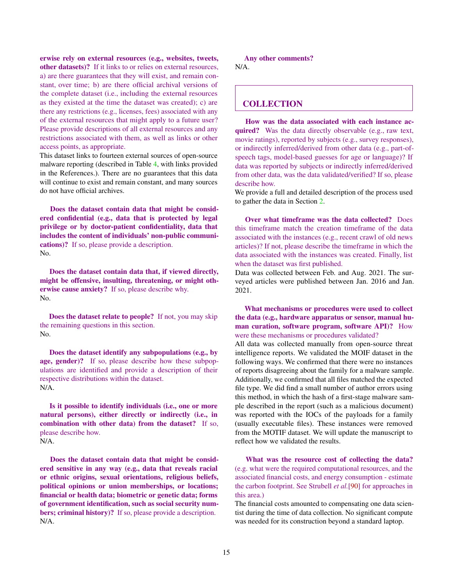erwise rely on external resources (e.g., websites, tweets, other datasets)? If it links to or relies on external resources, a) are there guarantees that they will exist, and remain constant, over time; b) are there official archival versions of the complete dataset (i.e., including the external resources as they existed at the time the dataset was created); c) are there any restrictions (e.g., licenses, fees) associated with any of the external resources that might apply to a future user? Please provide descriptions of all external resources and any restrictions associated with them, as well as links or other access points, as appropriate.

This dataset links to fourteen external sources of open-source malware reporting (described in Table [4,](#page-3-0) with links provided in the References.). There are no guarantees that this data will continue to exist and remain constant, and many sources do not have official archives.

Does the dataset contain data that might be considered confidential (e.g., data that is protected by legal privilege or by doctor-patient confidentiality, data that includes the content of individuals' non-public communications)? If so, please provide a description. No.

Does the dataset contain data that, if viewed directly, might be offensive, insulting, threatening, or might otherwise cause anxiety? If so, please describe why. No.

Does the dataset relate to people? If not, you may skip the remaining questions in this section. No.

Does the dataset identify any subpopulations (e.g., by age, gender)? If so, please describe how these subpopulations are identified and provide a description of their respective distributions within the dataset. N/A.

Is it possible to identify individuals (i.e., one or more natural persons), either directly or indirectly (i.e., in combination with other data) from the dataset? If so, please describe how. N/A.

Does the dataset contain data that might be considered sensitive in any way (e.g., data that reveals racial or ethnic origins, sexual orientations, religious beliefs, political opinions or union memberships, or locations; financial or health data; biometric or genetic data; forms of government identification, such as social security numbers; criminal history)? If so, please provide a description. N/A.

Any other comments? N/A.

# **COLLECTION**

How was the data associated with each instance acquired? Was the data directly observable (e.g., raw text, movie ratings), reported by subjects (e.g., survey responses), or indirectly inferred/derived from other data (e.g., part-ofspeech tags, model-based guesses for age or language)? If data was reported by subjects or indirectly inferred/derived from other data, was the data validated/verified? If so, please describe how.

We provide a full and detailed description of the process used to gather the data in Section [2.](#page-2-0)

Over what timeframe was the data collected? Does this timeframe match the creation timeframe of the data associated with the instances (e.g., recent crawl of old news articles)? If not, please describe the timeframe in which the data associated with the instances was created. Finally, list when the dataset was first published.

Data was collected between Feb. and Aug. 2021. The surveyed articles were published between Jan. 2016 and Jan. 2021.

What mechanisms or procedures were used to collect the data (e.g., hardware apparatus or sensor, manual human curation, software program, software API)? How were these mechanisms or procedures validated?

All data was collected manually from open-source threat intelligence reports. We validated the MOIF dataset in the following ways. We confirmed that there were no instances of reports disagreeing about the family for a malware sample. Additionally, we confirmed that all files matched the expected file type. We did find a small number of author errors using this method, in which the hash of a first-stage malware sample described in the report (such as a malicious document) was reported with the IOCs of the payloads for a family (usually executable files). These instances were removed from the MOTIF dataset. We will update the manuscript to reflect how we validated the results.

What was the resource cost of collecting the data? (e.g. what were the required computational resources, and the associated financial costs, and energy consumption - estimate the carbon footprint. See Strubell *et al.*[\[90\]](#page-12-8) for approaches in this area.)

The financial costs amounted to compensating one data scientist during the time of data collection. No significant compute was needed for its construction beyond a standard laptop.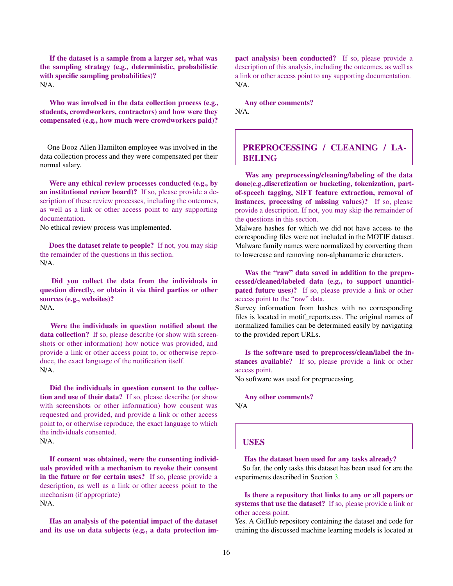If the dataset is a sample from a larger set, what was the sampling strategy (e.g., deterministic, probabilistic with specific sampling probabilities)? N/A.

Who was involved in the data collection process (e.g., students, crowdworkers, contractors) and how were they compensated (e.g., how much were crowdworkers paid)?

One Booz Allen Hamilton employee was involved in the data collection process and they were compensated per their normal salary.

Were any ethical review processes conducted (e.g., by an institutional review board)? If so, please provide a description of these review processes, including the outcomes, as well as a link or other access point to any supporting documentation.

No ethical review process was implemented.

Does the dataset relate to people? If not, you may skip the remainder of the questions in this section. N/A.

Did you collect the data from the individuals in question directly, or obtain it via third parties or other sources (e.g., websites)? N/A.

Were the individuals in question notified about the data collection? If so, please describe (or show with screenshots or other information) how notice was provided, and provide a link or other access point to, or otherwise reproduce, the exact language of the notification itself. N/A.

Did the individuals in question consent to the collection and use of their data? If so, please describe (or show with screenshots or other information) how consent was requested and provided, and provide a link or other access point to, or otherwise reproduce, the exact language to which the individuals consented. N/A.

If consent was obtained, were the consenting individuals provided with a mechanism to revoke their consent in the future or for certain uses? If so, please provide a description, as well as a link or other access point to the mechanism (if appropriate) N/A.

Has an analysis of the potential impact of the dataset and its use on data subjects (e.g., a data protection im-

pact analysis) been conducted? If so, please provide a description of this analysis, including the outcomes, as well as a link or other access point to any supporting documentation. N/A.

Any other comments? N/A.

# PREPROCESSING / CLEANING / LA-BELING

Was any preprocessing/cleaning/labeling of the data done(e.g.,discretization or bucketing, tokenization, partof-speech tagging, SIFT feature extraction, removal of instances, processing of missing values)? If so, please provide a description. If not, you may skip the remainder of the questions in this section.

Malware hashes for which we did not have access to the corresponding files were not included in the MOTIF dataset. Malware family names were normalized by converting them to lowercase and removing non-alphanumeric characters.

Was the "raw" data saved in addition to the preprocessed/cleaned/labeled data (e.g., to support unanticipated future uses)? If so, please provide a link or other access point to the "raw" data.

Survey information from hashes with no corresponding files is located in motif reports.csv. The original names of normalized families can be determined easily by navigating to the provided report URLs.

Is the software used to preprocess/clean/label the instances available? If so, please provide a link or other access point.

No software was used for preprocessing.

Any other comments? N/A

#### USES

Has the dataset been used for any tasks already?

So far, the only tasks this dataset has been used for are the experiments described in Section [3.](#page-5-0)

Is there a repository that links to any or all papers or systems that use the dataset? If so, please provide a link or other access point.

Yes. A GitHub repository containing the dataset and code for training the discussed machine learning models is located at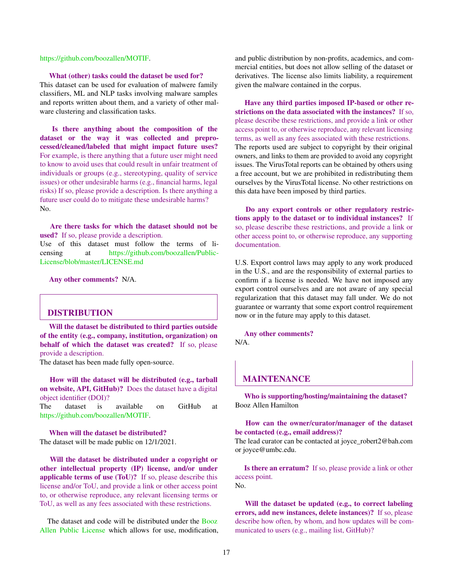#### [https://github.com/boozallen/MOTIF.](#page-0-0)

#### What (other) tasks could the dataset be used for?

This dataset can be used for evaluation of malwere family classifiers, ML and NLP tasks involving malware samples and reports written about them, and a variety of other malware clustering and classification tasks.

Is there anything about the composition of the dataset or the way it was collected and preprocessed/cleaned/labeled that might impact future uses? For example, is there anything that a future user might need to know to avoid uses that could result in unfair treatment of individuals or groups (e.g., stereotyping, quality of service issues) or other undesirable harms (e.g., financial harms, legal risks) If so, please provide a description. Is there anything a future user could do to mitigate these undesirable harms? No.

Are there tasks for which the dataset should not be used? If so, please provide a description. Use of this dataset must follow the terms of li-

censing at [https://github.com/boozallen/Public-](#page-0-0)[License/blob/master/LICENSE.md](#page-0-0)

Any other comments? N/A.

# DISTRIBUTION

Will the dataset be distributed to third parties outside of the entity (e.g., company, institution, organization) on behalf of which the dataset was created? If so, please provide a description.

The dataset has been made fully open-source.

How will the dataset will be distributed (e.g., tarball on website, API, GitHub)? Does the dataset have a digital object identifier (DOI)?

The dataset is available on GitHub at [https://github.com/boozallen/MOTIF.](#page-0-0)

When will the dataset be distributed? The dataset will be made public on 12/1/2021.

Will the dataset be distributed under a copyright or other intellectual property (IP) license, and/or under applicable terms of use (ToU)? If so, please describe this license and/or ToU, and provide a link or other access point to, or otherwise reproduce, any relevant licensing terms or ToU, as well as any fees associated with these restrictions.

The dataset and code will be distributed under the [Booz](#page-0-0) [Allen Public License](#page-0-0) which allows for use, modification, and public distribution by non-profits, academics, and commercial entities, but does not allow selling of the dataset or derivatives. The license also limits liability, a requirement given the malware contained in the corpus.

Have any third parties imposed IP-based or other restrictions on the data associated with the instances? If so, please describe these restrictions, and provide a link or other access point to, or otherwise reproduce, any relevant licensing terms, as well as any fees associated with these restrictions. The reports used are subject to copyright by their original owners, and links to them are provided to avoid any copyright issues. The VirusTotal reports can be obtained by others using a free account, but we are prohibited in redistributing them ourselves by the VirusTotal license. No other restrictions on this data have been imposed by third parties.

Do any export controls or other regulatory restrictions apply to the dataset or to individual instances? If so, please describe these restrictions, and provide a link or other access point to, or otherwise reproduce, any supporting documentation.

U.S. Export control laws may apply to any work produced in the U.S., and are the responsibility of external parties to confirm if a license is needed. We have not imposed any export control ourselves and are not aware of any special regularization that this dataset may fall under. We do not guarantee or warranty that some export control requirement now or in the future may apply to this dataset.

Any other comments? N/A.

## MAINTENANCE

Who is supporting/hosting/maintaining the dataset? Booz Allen Hamilton

#### How can the owner/curator/manager of the dataset be contacted (e.g., email address)?

The lead curator can be contacted at joyce\_robert2@bah.com or joyce@umbc.edu.

Is there an erratum? If so, please provide a link or other access point. No.

Will the dataset be updated (e.g., to correct labeling errors, add new instances, delete instances)? If so, please describe how often, by whom, and how updates will be communicated to users (e.g., mailing list, GitHub)?